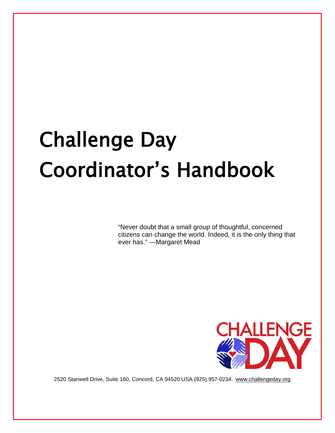# Challenge Day Coordinator's Handbook

"Never doubt that a small group of thoughtful, concerned citizens can change the world. Indeed, it is the only thing that ever has." —Margaret Mead



2520 Stanwell Drive, Suite 160, Concord, CA 94520 USA (925) 957-0234 [www.challengeday.org](http://www.challengeday.org/)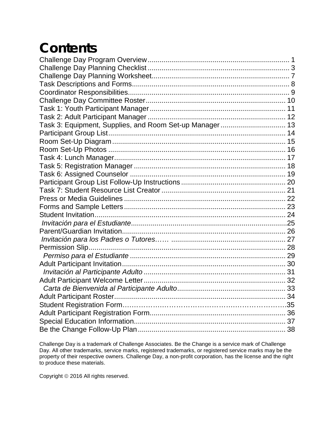## **Contents**

| Task 3: Equipment, Supplies, and Room Set-up Manager 13 |  |
|---------------------------------------------------------|--|
|                                                         |  |
|                                                         |  |
|                                                         |  |
|                                                         |  |
|                                                         |  |
|                                                         |  |
|                                                         |  |
|                                                         |  |
|                                                         |  |
|                                                         |  |
|                                                         |  |
|                                                         |  |
|                                                         |  |
|                                                         |  |
|                                                         |  |
|                                                         |  |
|                                                         |  |
|                                                         |  |
|                                                         |  |
|                                                         |  |
|                                                         |  |
|                                                         |  |
|                                                         |  |
|                                                         |  |
|                                                         |  |

Challenge Day is a trademark of Challenge Associates. Be the Change is a service mark of Challenge Day. All other trademarks, service marks, registered trademarks, or registered service marks may be the property of their respective owners. Challenge Day, a non-profit corporation, has the license and the right to produce these materials.

Copyright © 2016 All rights reserved.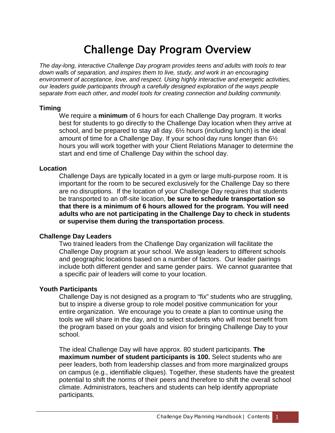### Challenge Day Program Overview

<span id="page-2-0"></span>*The day-long, interactive Challenge Day program provides teens and adults with tools to tear down walls of separation, and inspires them to live, study, and work in an encouraging environment of acceptance, love, and respect. Using highly interactive and energetic activities, our leaders guide participants through a carefully designed exploration of the ways people separate from each other, and model tools for creating connection and building community.*

#### **Timing**

We require a **minimum** of 6 hours for each Challenge Day program. It works best for students to go directly to the Challenge Day location when they arrive at school, and be prepared to stay all day. 6½ hours (including lunch) is the ideal amount of time for a Challenge Day. If your school day runs longer than 6½ hours you will work together with your Client Relations Manager to determine the start and end time of Challenge Day within the school day.

#### **Location**

Challenge Days are typically located in a gym or large multi-purpose room. It is important for the room to be secured exclusively for the Challenge Day so there are no disruptions. If the location of your Challenge Day requires that students be transported to an off-site location, **be sure to schedule transportation so that there is a minimum of 6 hours allowed for the program. You will need adults who are not participating in the Challenge Day to check in students or supervise them during the transportation process**.

#### **Challenge Day Leaders**

Two trained leaders from the Challenge Day organization will facilitate the Challenge Day program at your school. We assign leaders to different schools and geographic locations based on a number of factors. Our leader pairings include both different gender and same gender pairs. We cannot guarantee that a specific pair of leaders will come to your location.

#### **Youth Participants**

Challenge Day is not designed as a program to "fix" students who are struggling, but to inspire a diverse group to role model positive communication for your entire organization. We encourage you to create a plan to continue using the tools we will share in the day, and to select students who will most benefit from the program based on your goals and vision for bringing Challenge Day to your school.

The ideal Challenge Day will have approx. 80 student participants. **The maximum number of student participants is 100.** Select students who are peer leaders, both from leadership classes and from more marginalized groups on campus (e.g., identifiable cliques). Together, these students have the greatest potential to shift the norms of their peers and therefore to shift the overall school climate. Administrators, teachers and students can help identify appropriate participants.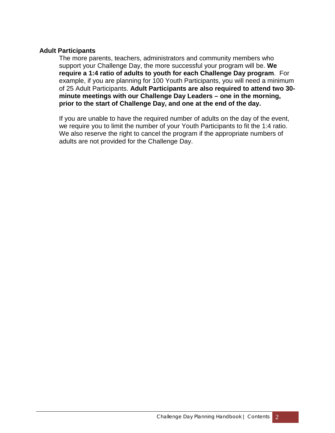#### **Adult Participants**

The more parents, teachers, administrators and community members who support your Challenge Day, the more successful your program will be. **We require a 1:4 ratio of adults to youth for each Challenge Day program**. For example, if you are planning for 100 Youth Participants, you will need a minimum of 25 Adult Participants. **Adult Participants are also required to attend two 30 minute meetings with our Challenge Day Leaders – one in the morning, prior to the start of Challenge Day, and one at the end of the day.**

If you are unable to have the required number of adults on the day of the event, we require you to limit the number of your Youth Participants to fit the 1:4 ratio. We also reserve the right to cancel the program if the appropriate numbers of adults are not provided for the Challenge Day.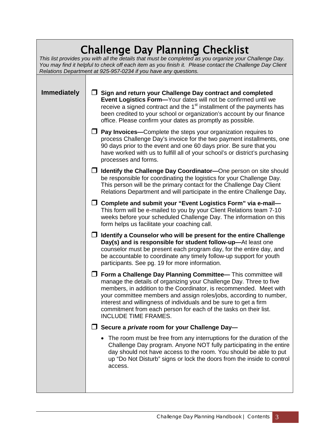### Challenge Day Planning Checklist

<span id="page-4-0"></span>*This list provides you with all the details that must be completed as you organize your Challenge Day. You may find it helpful to check off each item as you finish it. Please contact the Challenge Day Client Relations Department at 925-957-0234 if you have any questions.*

**Immediately** │ ◯ Sign and return your Challenge Day contract and completed **Event Logistics Form—**Your dates will not be confirmed until we receive a signed contract and the 1<sup>st</sup> installment of the payments has been credited to your school or organization's account by our finance office. Please confirm your dates as promptly as possible.

#### **Pay Invoices—**Complete the steps your organization requires to process Challenge Day's invoice for the two payment installments, one 90 days prior to the event and one 60 days prior. Be sure that you have worked with us to fulfill all of your school's or district's purchasing processes and forms.

- **Identify the Challenge Day Coordinator—**One person on site should be responsible for coordinating the logistics for your Challenge Day. This person will be the primary contact for the Challenge Day Client Relations Department and will participate in the entire Challenge Day**.**
- **Complete and submit your "Event Logistics Form" via e-mail—** This form will be e-mailed to you by your Client Relations team 7-10 weeks before your scheduled Challenge Day. The information on this form helps us facilitate your coaching call.
- **Identify a Counselor who will be present for the entire Challenge Day(s) and is responsible for student follow-up—**At least one counselor must be present each program day, for the entire day, and be accountable to coordinate any timely follow-up support for youth participants. See pg. 19 for more information.
- **Form a Challenge Day Planning Committee—** This committee will manage the details of organizing your Challenge Day. Three to five members, in addition to the Coordinator, is recommended. Meet with your committee members and assign roles/jobs, according to number, interest and willingness of individuals and be sure to get a firm commitment from each person for each of the tasks on their list. INCLUDE TIME FRAMES.

#### **Secure a** *private* **room for your Challenge Day—**

• The room must be free from any interruptions for the duration of the Challenge Day program. Anyone NOT fully participating in the entire day should not have access to the room. You should be able to put up "Do Not Disturb" signs or lock the doors from the inside to control access.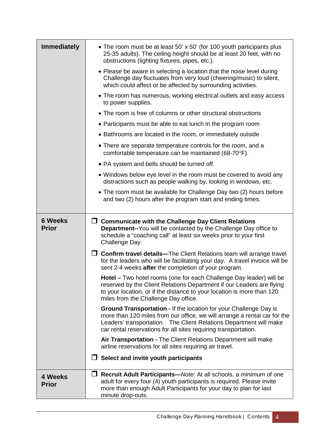| <b>Immediately</b>             | • The room must be at least 50' x 50' (for 100 youth participants plus<br>25-35 adults). The ceiling height should be at least 20 feet, with no<br>obstructions (lighting fixtures, pipes, etc.).                                                                                              |  |  |  |  |
|--------------------------------|------------------------------------------------------------------------------------------------------------------------------------------------------------------------------------------------------------------------------------------------------------------------------------------------|--|--|--|--|
|                                | • Please be aware in selecting a location that the noise level during<br>Challenge day fluctuates from very loud (cheering/music) to silent,<br>which could affect or be affected by surrounding activities.                                                                                   |  |  |  |  |
|                                | • The room has numerous, working electrical outlets and easy access<br>to power supplies.                                                                                                                                                                                                      |  |  |  |  |
|                                | • The room is free of columns or other structural obstructions                                                                                                                                                                                                                                 |  |  |  |  |
|                                | • Participants must be able to eat lunch in the program room                                                                                                                                                                                                                                   |  |  |  |  |
|                                | • Bathrooms are located in the room, or immediately outside                                                                                                                                                                                                                                    |  |  |  |  |
|                                | • There are separate temperature controls for the room, and a<br>comfortable temperature can be maintained (68-70°F).                                                                                                                                                                          |  |  |  |  |
|                                | • PA system and bells should be turned off.                                                                                                                                                                                                                                                    |  |  |  |  |
|                                | • Windows below eye level in the room must be covered to avoid any<br>distractions such as people walking by, looking in windows, etc.                                                                                                                                                         |  |  |  |  |
|                                | • The room must be available for Challenge Day two (2) hours before<br>and two (2) hours after the program start and ending times.                                                                                                                                                             |  |  |  |  |
|                                |                                                                                                                                                                                                                                                                                                |  |  |  |  |
| <b>6 Weeks</b><br><b>Prior</b> | $\Box$ Communicate with the Challenge Day Client Relations<br><b>Department--You will be contacted by the Challenge Day office to</b><br>schedule a "coaching call" at least six weeks prior to your first<br>Challenge Day.                                                                   |  |  |  |  |
|                                | $\Box$ Confirm travel details—The Client Relations team will arrange travel<br>for the leaders who will be facilitating your day. A travel invoice will be<br>sent 2-4 weeks after the completion of your program.                                                                             |  |  |  |  |
|                                | <b>Hotel</b> – Two hotel rooms (one for each Challenge Day leader) will be<br>reserved by the Client Relations Department if our Leaders are flying<br>to your location, or if the distance to your location is more than 120<br>miles from the Challenge Day office.                          |  |  |  |  |
|                                | <b>Ground Transportation - If the location for your Challenge Day is</b><br>more than 120 miles from our office, we will arrange a rental car for the<br>Leaders' transportation. The Client Relations Department will make<br>car rental reservations for all sites requiring transportation. |  |  |  |  |
|                                | Air Transportation - The Client Relations Department will make<br>airline reservations for all sites requiring air travel.                                                                                                                                                                     |  |  |  |  |
|                                | $\Box$ Select and invite youth participants                                                                                                                                                                                                                                                    |  |  |  |  |
| 4 Weeks<br><b>Prior</b>        | Recruit Adult Participants-Note: At all schools, a minimum of one<br>$\Box$<br>adult for every four (4) youth participants is required. Please invite<br>more than enough Adult Participants for your day to plan for last<br>minute drop-outs.                                                |  |  |  |  |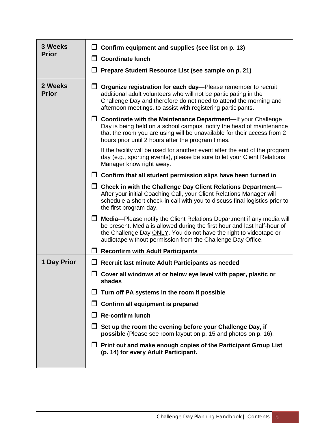| 3 Weeks<br><b>Prior</b> | □<br>Confirm equipment and supplies (see list on p. 13)                                                                                                                                                                                                                                      |  |  |  |  |
|-------------------------|----------------------------------------------------------------------------------------------------------------------------------------------------------------------------------------------------------------------------------------------------------------------------------------------|--|--|--|--|
|                         | <b>Coordinate lunch</b>                                                                                                                                                                                                                                                                      |  |  |  |  |
|                         | Prepare Student Resource List (see sample on p. 21)                                                                                                                                                                                                                                          |  |  |  |  |
| 2 Weeks<br><b>Prior</b> | $\Box$ Organize registration for each day—Please remember to recruit<br>additional adult volunteers who will not be participating in the<br>Challenge Day and therefore do not need to attend the morning and<br>afternoon meetings, to assist with registering participants.                |  |  |  |  |
|                         | $\Box$ Coordinate with the Maintenance Department—If your Challenge<br>Day is being held on a school campus, notify the head of maintenance<br>that the room you are using will be unavailable for their access from 2<br>hours prior until 2 hours after the program times.                 |  |  |  |  |
|                         | If the facility will be used for another event after the end of the program<br>day (e.g., sporting events), please be sure to let your Client Relations<br>Manager know right away.                                                                                                          |  |  |  |  |
|                         | $\Box$ Confirm that all student permission slips have been turned in                                                                                                                                                                                                                         |  |  |  |  |
|                         | $\Box$ Check in with the Challenge Day Client Relations Department-<br>After your initial Coaching Call, your Client Relations Manager will<br>schedule a short check-in call with you to discuss final logistics prior to<br>the first program day.                                         |  |  |  |  |
|                         | <b>Media—Please notify the Client Relations Department if any media will</b><br>be present. Media is allowed during the first hour and last half-hour of<br>the Challenge Day ONLY. You do not have the right to videotape or<br>audiotape without permission from the Challenge Day Office. |  |  |  |  |
|                         | <b>Reconfirm with Adult Participants</b>                                                                                                                                                                                                                                                     |  |  |  |  |
| 1 Day Prior             | $\Box$ Recruit last minute Adult Participants as needed                                                                                                                                                                                                                                      |  |  |  |  |
|                         | Cover all windows at or below eye level with paper, plastic or<br>shades                                                                                                                                                                                                                     |  |  |  |  |
|                         | Turn off PA systems in the room if possible                                                                                                                                                                                                                                                  |  |  |  |  |
|                         | Confirm all equipment is prepared                                                                                                                                                                                                                                                            |  |  |  |  |
|                         | <b>Re-confirm lunch</b>                                                                                                                                                                                                                                                                      |  |  |  |  |
|                         | $\Box$ Set up the room the evening before your Challenge Day, if<br>possible (Please see room layout on p. 15 and photos on p. 16).                                                                                                                                                          |  |  |  |  |
|                         | $\Box$ Print out and make enough copies of the Participant Group List<br>(p. 14) for every Adult Participant.                                                                                                                                                                                |  |  |  |  |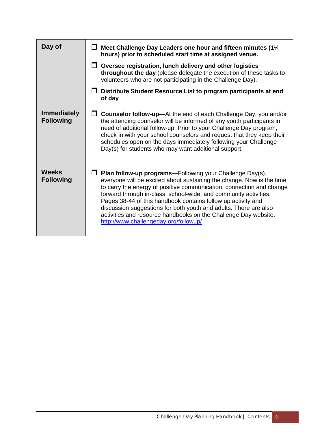| Day of                                 | Meet Challenge Day Leaders one hour and fifteen minutes (11/4<br>hours) prior to scheduled start time at assigned venue.                                                                                                                                                                                                                                                                                                                                                                                                             |  |  |  |
|----------------------------------------|--------------------------------------------------------------------------------------------------------------------------------------------------------------------------------------------------------------------------------------------------------------------------------------------------------------------------------------------------------------------------------------------------------------------------------------------------------------------------------------------------------------------------------------|--|--|--|
|                                        | Oversee registration, lunch delivery and other logistics<br>$\mathsf{L}$<br>throughout the day (please delegate the execution of these tasks to<br>volunteers who are not participating in the Challenge Day).                                                                                                                                                                                                                                                                                                                       |  |  |  |
|                                        | Distribute Student Resource List to program participants at end<br>of day                                                                                                                                                                                                                                                                                                                                                                                                                                                            |  |  |  |
| <b>Immediately</b><br><b>Following</b> | <b>Counselor follow-up-At the end of each Challenge Day, you and/or</b><br>$\mathsf{L}$<br>the attending counselor will be informed of any youth participants in<br>need of additional follow-up. Prior to your Challenge Day program,<br>check in with your school counselors and request that they keep their<br>schedules open on the days immediately following your Challenge<br>Day(s) for students who may want additional support.                                                                                           |  |  |  |
| <b>Weeks</b><br><b>Following</b>       | Plan follow-up programs-Following your Challenge Day(s),<br>  I<br>everyone will be excited about sustaining the change. Now is the time<br>to carry the energy of positive communication, connection and change<br>forward through in-class, school-wide, and community activities.<br>Pages 38-44 of this handbook contains follow up activity and<br>discussion suggestions for both youth and adults. There are also<br>activities and resource handbooks on the Challenge Day website:<br>http://www.challengeday.org/followup/ |  |  |  |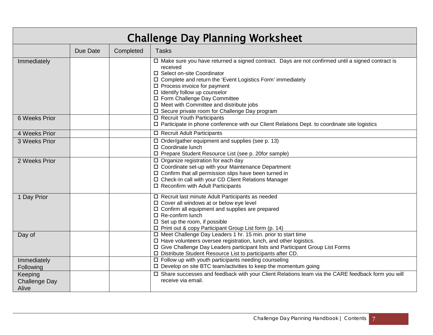<span id="page-8-0"></span>

| <b>Challenge Day Planning Worksheet</b>  |          |           |                                                                                                                                                                                                                                                                                                                                                                                                                                       |  |
|------------------------------------------|----------|-----------|---------------------------------------------------------------------------------------------------------------------------------------------------------------------------------------------------------------------------------------------------------------------------------------------------------------------------------------------------------------------------------------------------------------------------------------|--|
|                                          | Due Date | Completed | <b>Tasks</b>                                                                                                                                                                                                                                                                                                                                                                                                                          |  |
| Immediately                              |          |           | □ Make sure you have returned a signed contract. Days are not confirmed until a signed contract is<br>received<br>□ Select on-site Coordinator<br>□ Complete and return the 'Event Logistics Form' immediately<br>$\square$ Process invoice for payment<br>$\Box$ Identify follow up counselor<br>□ Form Challenge Day Committee<br>$\Box$ Meet with Committee and distribute jobs<br>□ Secure private room for Challenge Day program |  |
| 6 Weeks Prior                            |          |           | □ Recruit Youth Participants<br>□ Participate in phone conference with our Client Relations Dept. to coordinate site logistics                                                                                                                                                                                                                                                                                                        |  |
| 4 Weeks Prior                            |          |           | □ Recruit Adult Participants                                                                                                                                                                                                                                                                                                                                                                                                          |  |
| 3 Weeks Prior                            |          |           | $\Box$ Order/gather equipment and supplies (see p. 13)<br>□ Coordinate lunch<br>□ Prepare Student Resource List (see p. 20for sample)                                                                                                                                                                                                                                                                                                 |  |
| 2 Weeks Prior                            |          |           | □ Organize registration for each day<br>□ Coordinate set-up with your Maintenance Department<br>□ Confirm that all permission slips have been turned in<br>□ Check-In call with your CD Client Relations Manager<br>$\square$ Reconfirm with Adult Participants                                                                                                                                                                       |  |
| 1 Day Prior                              |          |           | □ Recruit last minute Adult Participants as needed<br>$\Box$ Cover all windows at or below eye level<br>□ Confirm all equipment and supplies are prepared<br>□ Re-confirm lunch<br>$\Box$ Set up the room, if possible<br>□ Print out & copy Participant Group List form (p. 14)                                                                                                                                                      |  |
| Day of                                   |          |           | □ Meet Challenge Day Leaders 1 hr. 15 min. prior to start time<br>□ Have volunteers oversee registration, lunch, and other logistics.<br>□ Give Challenge Day Leaders participant lists and Participant Group List Forms<br>□ Distribute Student Resource List to participants after CD.                                                                                                                                              |  |
| Immediately<br>Following                 |          |           | $\Box$ Follow up with youth participants needing counseling<br>□ Develop on site BTC team/activities to keep the momentum going                                                                                                                                                                                                                                                                                                       |  |
| Keeping<br><b>Challenge Day</b><br>Alive |          |           | □ Share successes and feedback with your Client Relations team via the CARE feedback form you will<br>receive via email.                                                                                                                                                                                                                                                                                                              |  |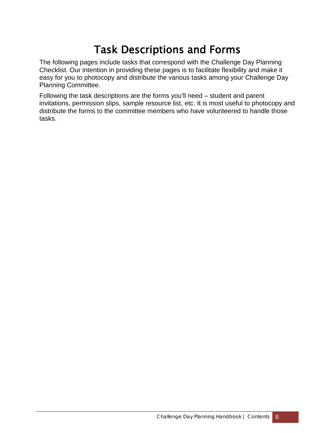### Task Descriptions and Forms

<span id="page-9-0"></span>The following pages include tasks that correspond with the Challenge Day Planning Checklist. Our intention in providing these pages is to facilitate flexibility and make it easy for you to photocopy and distribute the various tasks among your Challenge Day Planning Committee.

Following the task descriptions are the forms you'll need – student and parent invitations, permission slips, sample resource list, etc. It is most useful to photocopy and distribute the forms to the committee members who have volunteered to handle those tasks.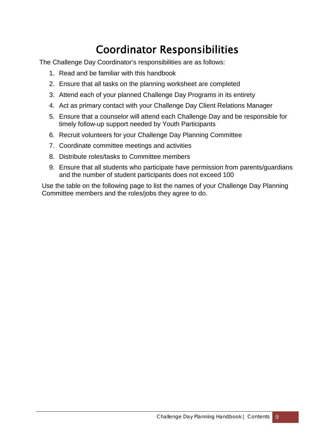### Coordinator Responsibilities

<span id="page-10-0"></span>The Challenge Day Coordinator's responsibilities are as follows:

- 1. Read and be familiar with this handbook
- 2. Ensure that all tasks on the planning worksheet are completed
- 3. Attend each of your planned Challenge Day Programs in its entirety
- 4. Act as primary contact with your Challenge Day Client Relations Manager
- 5. Ensure that a counselor will attend each Challenge Day and be responsible for timely follow-up support needed by Youth Participants
- 6. Recruit volunteers for your Challenge Day Planning Committee
- 7. Coordinate committee meetings and activities
- 8. Distribute roles/tasks to Committee members
- 9. Ensure that all students who participate have permission from parents/guardians and the number of student participants does not exceed 100

Use the table on the following page to list the names of your Challenge Day Planning Committee members and the roles/jobs they agree to do.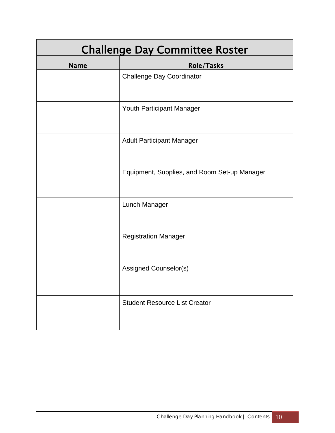<span id="page-11-0"></span>

| <b>Challenge Day Committee Roster</b> |                                              |  |  |  |
|---------------------------------------|----------------------------------------------|--|--|--|
| <b>Name</b>                           | Role/Tasks                                   |  |  |  |
|                                       | <b>Challenge Day Coordinator</b>             |  |  |  |
|                                       | Youth Participant Manager                    |  |  |  |
|                                       | <b>Adult Participant Manager</b>             |  |  |  |
|                                       | Equipment, Supplies, and Room Set-up Manager |  |  |  |
|                                       | Lunch Manager                                |  |  |  |
|                                       | <b>Registration Manager</b>                  |  |  |  |
|                                       | Assigned Counselor(s)                        |  |  |  |
|                                       | <b>Student Resource List Creator</b>         |  |  |  |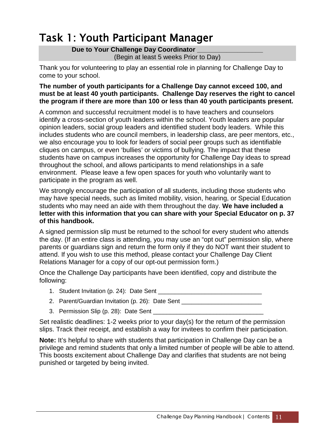### <span id="page-12-0"></span>Task 1: Youth Participant Manager

#### Due to Your Challenge Day Coordinator

(Begin at least 5 weeks Prior to Day)

Thank you for volunteering to play an essential role in planning for Challenge Day to come to your school.

#### **The number of youth participants for a Challenge Day cannot exceed 100, and must be at least 40 youth participants. Challenge Day reserves the right to cancel the program if there are more than 100 or less than 40 youth participants present.**

A common and successful recruitment model is to have teachers and counselors identify a cross-section of youth leaders within the school. Youth leaders are popular opinion leaders, social group leaders and identified student body leaders. While this includes students who are council members, in leadership class, are peer mentors, etc., we also encourage you to look for leaders of social peer groups such as identifiable cliques on campus, or even 'bullies' or victims of bullying. The impact that these students have on campus increases the opportunity for Challenge Day ideas to spread throughout the school, and allows participants to mend relationships in a safe environment. Please leave a few open spaces for youth who voluntarily want to participate in the program as well.

We strongly encourage the participation of all students, including those students who may have special needs, such as limited mobility, vision, hearing, or Special Education students who may need an aide with them throughout the day. **We have included a letter with this information that you can share with your Special Educator on p. 37 of this handbook.**

A signed permission slip must be returned to the school for every student who attends the day. (If an entire class is attending, you may use an "opt out" permission slip, where parents or guardians sign and return the form only if they do NOT want their student to attend. If you wish to use this method, please contact your Challenge Day Client Relations Manager for a copy of our opt-out permission form.)

Once the Challenge Day participants have been identified, copy and distribute the following:

- 1. Student Invitation (p. 24): Date Sent \_\_\_\_\_\_\_\_\_\_\_\_\_\_\_\_\_\_\_\_\_\_\_\_\_\_\_\_\_\_\_
- 2. Parent/Guardian Invitation (p. 26): Date Sent \_\_\_\_\_\_\_\_\_\_\_\_\_\_\_\_\_\_\_\_\_\_\_\_\_\_\_\_\_\_\_
- 3. Permission Slip (p. 28): Date Sent

Set realistic deadlines: 1-2 weeks prior to your day(s) for the return of the permission slips. Track their receipt, and establish a way for invitees to confirm their participation.

**Note:** It's helpful to share with students that participation in Challenge Day can be a privilege and remind students that only a limited number of people will be able to attend. This boosts excitement about Challenge Day and clarifies that students are not being punished or targeted by being invited.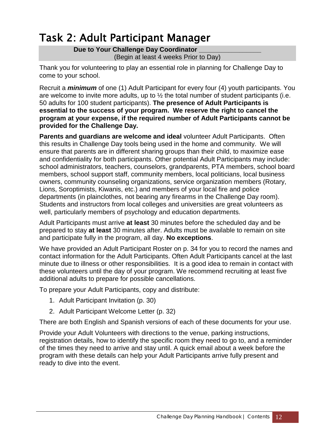### <span id="page-13-0"></span>Task 2: Adult Participant Manager

Due to Your Challenge Day Coordinator (Begin at least 4 weeks Prior to Day)

Thank you for volunteering to play an essential role in planning for Challenge Day to come to your school.

Recruit a *minimum* of one (1) Adult Participant for every four (4) youth participants. You are welcome to invite more adults, up to  $\frac{1}{2}$  the total number of student participants (i.e. 50 adults for 100 student participants). **The presence of Adult Participants is essential to the success of your program. We reserve the right to cancel the program at your expense, if the required number of Adult Participants cannot be provided for the Challenge Day.**

**Parents and guardians are welcome and ideal** volunteer Adult Participants. Often this results in Challenge Day tools being used in the home and community. We will ensure that parents are in different sharing groups than their child, to maximize ease and confidentiality for both participants. Other potential Adult Participants may include: school administrators, teachers, counselors, grandparents, PTA members, school board members, school support staff, community members, local politicians, local business owners, community counseling organizations, service organization members (Rotary, Lions, Soroptimists, Kiwanis, etc.) and members of your local fire and police departments (in plainclothes, not bearing any firearms in the Challenge Day room). Students and instructors from local colleges and universities are great volunteers as well, particularly members of psychology and education departments.

Adult Participants must arrive **at least** 30 minutes before the scheduled day and be prepared to stay **at least** 30 minutes after. Adults must be available to remain on site and participate fully in the program, all day. **No exceptions**.

We have provided an Adult Participant Roster on p. 34 for you to record the names and contact information for the Adult Participants. Often Adult Participants cancel at the last minute due to illness or other responsibilities. It is a good idea to remain in contact with these volunteers until the day of your program. We recommend recruiting at least five additional adults to prepare for possible cancellations.

To prepare your Adult Participants, copy and distribute:

- 1. Adult Participant Invitation (p. 30)
- 2. Adult Participant Welcome Letter (p. 32)

There are both English and Spanish versions of each of these documents for your use.

Provide your Adult Volunteers with directions to the venue, parking instructions, registration details, how to identify the specific room they need to go to, and a reminder of the times they need to arrive and stay until. A quick email about a week before the program with these details can help your Adult Participants arrive fully present and ready to dive into the event.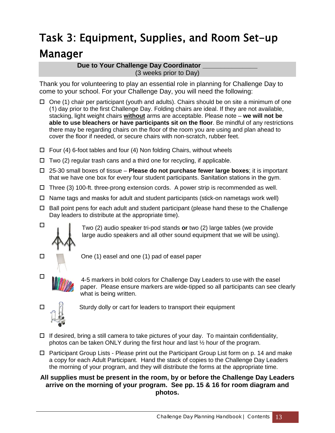### <span id="page-14-0"></span>Task 3: Equipment, Supplies, and Room Set-up Manager

#### **Due to Your Challenge Day Coordinator** (3 weeks prior to Day)

Thank you for volunteering to play an essential role in planning for Challenge Day to come to your school. For your Challenge Day, you will need the following:

- $\Box$  One (1) chair per participant (youth and adults). Chairs should be on site a minimum of one (1) day prior to the first Challenge Day. Folding chairs are ideal. If they are not available, stacking, light weight chairs **without** arms are acceptable. Please note – **we will not be able to use bleachers or have participants sit on the floor**. Be mindful of any restrictions there may be regarding chairs on the floor of the room you are using and plan ahead to cover the floor if needed, or secure chairs with non-scratch, rubber feet.
- $\Box$  Four (4) 6-foot tables and four (4) Non folding Chairs, without wheels
- $\Box$  Two (2) regular trash cans and a third one for recycling, if applicable.
- 25-30 small boxes of tissue **Please do not purchase fewer large boxes**; it is important that we have one box for every four student participants. Sanitation stations in the gym.
- $\Box$  Three (3) 100-ft. three-prong extension cords. A power strip is recommended as well.
- $\Box$  Name tags and masks for adult and student participants (stick-on nametags work well)
- $\Box$  Ball point pens for each adult and student participant (please hand these to the Challenge Day leaders to distribute at the appropriate time).



Two (2) audio speaker tri-pod stands **or** two (2) large tables (we provide large audio speakers and all other sound equipment that we will be using).





4-5 markers in bold colors for Challenge Day Leaders to use with the easel paper. Please ensure markers are wide-tipped so all participants can see clearly what is being written.



 $\square$ 

- $\Box$  If desired, bring a still camera to take pictures of your day. To maintain confidentiality, photos can be taken ONLY during the first hour and last ½ hour of the program.
- $\Box$  Participant Group Lists Please print out the Participant Group List form on p. 14 and make a copy for each Adult Participant. Hand the stack of copies to the Challenge Day Leaders the morning of your program, and they will distribute the forms at the appropriate time.

#### **All supplies must be present in the room, by or before the Challenge Day Leaders arrive on the morning of your program. See pp. 15 & 16 for room diagram and photos.**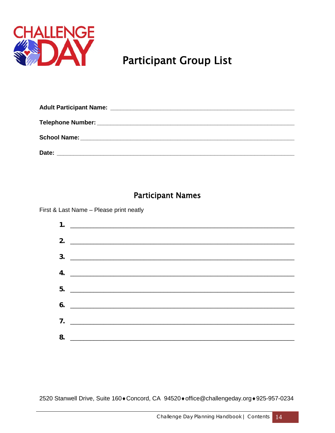<span id="page-15-0"></span>

### **Participant Group List**

| <b>Adult Participant Name:</b> | <u> 1999 - Jan James James, martin de la contrada de la contrada de la contrada de la contrada de la contrada de</u> |  |
|--------------------------------|----------------------------------------------------------------------------------------------------------------------|--|
|                                |                                                                                                                      |  |
|                                |                                                                                                                      |  |
| Date:                          |                                                                                                                      |  |

### **Participant Names**

First & Last Name - Please print neatly



2520 Stanwell Drive, Suite 160+Concord, CA 94520+office@challengeday.org+925-957-0234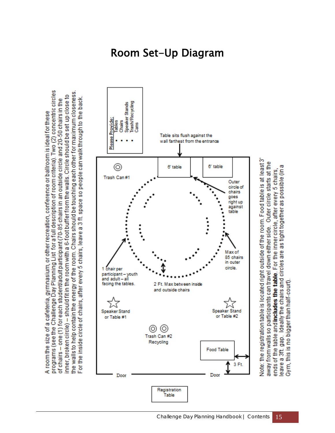

programs (see the Challenge Day Planning List for a full description of room criteria). Two (2) concentric circles

A room the size of a cafeteria, gymnasium, or other recreation, conference or ballroom is ideal for these

of chairs – one (1) for each student/adult participant (70-85 chairs in an outside circle and 20-50 chairs in the

the walls to help contain the energy of the room. Chairs should be touching each other for maximum closeness inner, broken circle) – should fit in the room with a 6-foot buffer from the walls. Circle should be set up close to

### Room Set-Up Diagram

away from walls so participants can travel down either side. Outer circle starts at the ends of the table and **includes the table**. For the inner circle, after every 5 chairs,<br>leave a 3ft. gap. Ideally the chairs and circles are as tight together as possible (in a Gym, this is no bigger than half-court)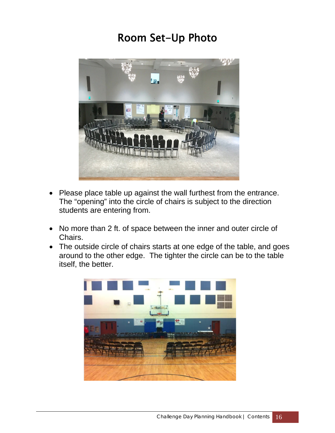### Room Set-Up Photo



- Please place table up against the wall furthest from the entrance. The "opening" into the circle of chairs is subject to the direction students are entering from.
- No more than 2 ft. of space between the inner and outer circle of Chairs.
- The outside circle of chairs starts at one edge of the table, and goes around to the other edge. The tighter the circle can be to the table itself, the better.

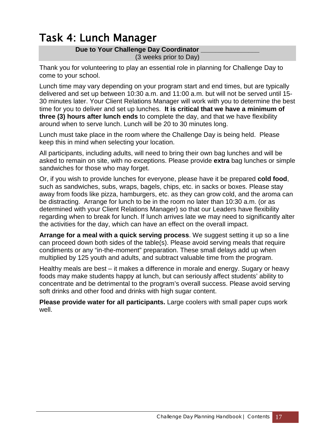### <span id="page-18-0"></span>Task 4: Lunch Manager

#### Due to Your Challenge Day Coordinator

(3 weeks prior to Day)

Thank you for volunteering to play an essential role in planning for Challenge Day to come to your school.

Lunch time may vary depending on your program start and end times, but are typically delivered and set up between 10:30 a.m. and 11:00 a.m. but will not be served until 15- 30 minutes later. Your Client Relations Manager will work with you to determine the best time for you to deliver and set up lunches. **It is critical that we have a minimum of three (3) hours after lunch ends** to complete the day, and that we have flexibility around when to serve lunch. Lunch will be 20 to 30 minutes long.

Lunch must take place in the room where the Challenge Day is being held. Please keep this in mind when selecting your location.

All participants, including adults, will need to bring their own bag lunches and will be asked to remain on site, with no exceptions. Please provide **extra** bag lunches or simple sandwiches for those who may forget.

Or, if you wish to provide lunches for everyone, please have it be prepared **cold food**, such as sandwiches, subs, wraps, bagels, chips, etc. in sacks or boxes. Please stay away from foods like pizza, hamburgers, etc. as they can grow cold, and the aroma can be distracting. Arrange for lunch to be in the room no later than 10:30 a.m. (or as determined with your Client Relations Manager) so that our Leaders have flexibility regarding when to break for lunch. If lunch arrives late we may need to significantly alter the activities for the day, which can have an effect on the overall impact.

**Arrange for a meal with a quick serving process**. We suggest setting it up so a line can proceed down both sides of the table(s). Please avoid serving meals that require condiments or any "in-the-moment" preparation. These small delays add up when multiplied by 125 youth and adults, and subtract valuable time from the program.

Healthy meals are best – it makes a difference in morale and energy. Sugary or heavy foods may make students happy at lunch, but can seriously affect students' ability to concentrate and be detrimental to the program's overall success. Please avoid serving soft drinks and other food and drinks with high sugar content.

**Please provide water for all participants.** Large coolers with small paper cups work well.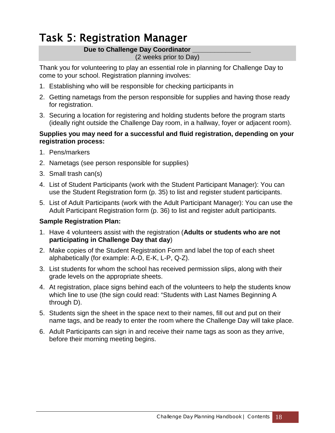### <span id="page-19-0"></span>Task 5: Registration Manager

#### Due to Challenge Day Coordinator

#### (2 weeks prior to Day)

Thank you for volunteering to play an essential role in planning for Challenge Day to come to your school. Registration planning involves:

- 1. Establishing who will be responsible for checking participants in
- 2. Getting nametags from the person responsible for supplies and having those ready for registration.
- 3. Securing a location for registering and holding students before the program starts (ideally right outside the Challenge Day room, in a hallway, foyer or adjacent room).

#### **Supplies you may need for a successful and fluid registration, depending on your registration process:**

- 1. Pens/markers
- 2. Nametags (see person responsible for supplies)
- 3. Small trash can(s)
- 4. List of Student Participants (work with the Student Participant Manager): You can use the Student Registration form (p. 35) to list and register student participants.
- 5. List of Adult Participants (work with the Adult Participant Manager): You can use the Adult Participant Registration form (p. 36) to list and register adult participants.

#### **Sample Registration Plan:**

- 1. Have 4 volunteers assist with the registration (**Adults or students who are not participating in Challenge Day that day**)
- 2. Make copies of the Student Registration Form and label the top of each sheet alphabetically (for example: A-D, E-K, L-P, Q-Z).
- 3. List students for whom the school has received permission slips, along with their grade levels on the appropriate sheets.
- 4. At registration, place signs behind each of the volunteers to help the students know which line to use (the sign could read: "Students with Last Names Beginning A through D).
- 5. Students sign the sheet in the space next to their names, fill out and put on their name tags, and be ready to enter the room where the Challenge Day will take place.
- 6. Adult Participants can sign in and receive their name tags as soon as they arrive, before their morning meeting begins.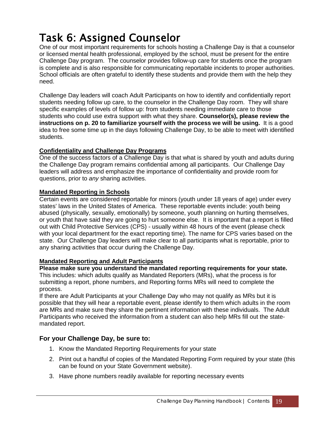### <span id="page-20-0"></span>Task 6: Assigned Counselor

One of our most important requirements for schools hosting a Challenge Day is that a counselor or licensed mental health professional, employed by the school, must be present for the entire Challenge Day program. The counselor provides follow-up care for students once the program is complete and is also responsible for communicating reportable incidents to proper authorities. School officials are often grateful to identify these students and provide them with the help they need.

Challenge Day leaders will coach Adult Participants on how to identify and confidentially report students needing follow up care, to the counselor in the Challenge Day room. They will share specific examples of levels of follow up: from students needing immediate care to those students who could use extra support with what they share. **Counselor(s), please review the instructions on p. 20 to familiarize yourself with the process we will be using.** It is a good idea to free some time up in the days following Challenge Day, to be able to meet with identified students.

#### **Confidentiality and Challenge Day Programs**

One of the success factors of a Challenge Day is that what is shared by youth and adults during the Challenge Day program remains confidential among all participants. Our Challenge Day leaders will address and emphasize the importance of confidentiality and provide room for questions, prior to *any* sharing activities.

#### **Mandated Reporting in Schools**

Certain events are considered reportable for minors (youth under 18 years of age) under every states' laws in the United States of America. These reportable events include: youth being abused (physically, sexually, emotionally) by someone, youth planning on hurting themselves, or youth that have said they are going to hurt someone else. It is important that a report is filled out with Child Protective Services (CPS) - usually within 48 hours of the event (please check with your local department for the exact reporting time). The name for CPS varies based on the state. Our Challenge Day leaders will make clear to all participants what is reportable, prior to any sharing activities that occur during the Challenge Day.

#### **Mandated Reporting and Adult Participants**

**Please make sure you understand the mandated reporting requirements for your state.** This includes: which adults qualify as Mandated Reporters (MRs), what the process is for submitting a report, phone numbers, and Reporting forms MRs will need to complete the process.

If there are Adult Participants at your Challenge Day who may not qualify as MRs but it is possible that they will hear a reportable event, please identify to them which adults in the room are MRs and make sure they share the pertinent information with these individuals. The Adult Participants who received the information from a student can also help MRs fill out the statemandated report.

#### **For your Challenge Day, be sure to:**

- 1. Know the Mandated Reporting Requirements for your state
- 2. Print out a handful of copies of the Mandated Reporting Form required by your state (this can be found on your State Government website).
- <span id="page-20-1"></span>3. Have phone numbers readily available for reporting necessary events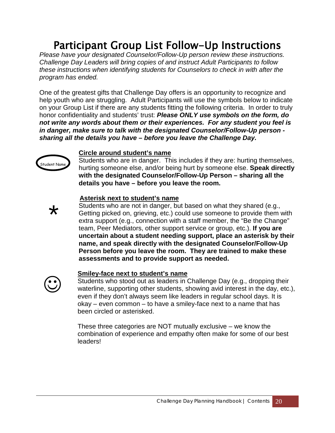### Participant Group List Follow-Up Instructions

*Please have your designated Counselor/Follow-Up person review these instructions. Challenge Day Leaders will bring copies of and instruct Adult Participants to follow these instructions when identifying students for Counselors to check in with after the program has ended.*

One of the greatest gifts that Challenge Day offers is an opportunity to recognize and help youth who are struggling. Adult Participants will use the symbols below to indicate on your Group List if there are any students fitting the following criteria. In order to truly honor confidentiality and students' trust: *Please ONLY use symbols on the form, do not write any words about them or their experiences. For any student you feel is in danger, make sure to talk with the designated Counselor/Follow-Up person sharing all the details you have – before you leave the Challenge Day.*



\*

#### **Circle around student's name**

Students who are in danger. This includes if they are: hurting themselves, hurting someone else, and/or being hurt by someone else. **Speak directly with the designated Counselor/Follow-Up Person – sharing all the details you have – before you leave the room.**

#### **Asterisk next to student's name**

Students who are not in danger, but based on what they shared (e.g., Getting picked on, grieving, etc.) could use someone to provide them with extra support (e.g., connection with a staff member, the "Be the Change" team, Peer Mediators, other support service or group, etc.). **If you are uncertain about a student needing support, place an asterisk by their name, and speak directly with the designated Counselor/Follow-Up Person before you leave the room. They are trained to make these assessments and to provide support as needed.**



#### **Smiley-face next to student's name**

Students who stood out as leaders in Challenge Day (e.g., dropping their waterline, supporting other students, showing avid interest in the day, etc.), even if they don't always seem like leaders in regular school days. It is okay – even common – to have a smiley-face next to a name that has been circled or asterisked.

These three categories are NOT mutually exclusive – we know the combination of experience and empathy often make for some of our best leaders!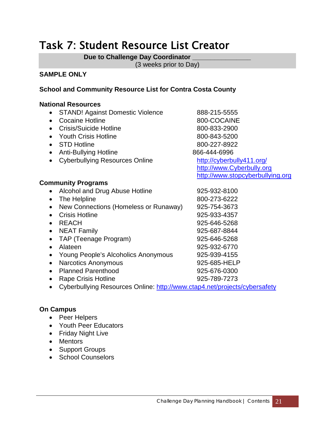### <span id="page-22-0"></span>Task 7: Student Resource List Creator

**Due to Challenge Day Coordinator \_\_\_\_\_\_\_\_\_\_\_\_\_\_\_\_** 

(3 weeks prior to Day)

#### **SAMPLE ONLY**

#### **School and Community Resource List for Contra Costa County**

#### **National Resources**

- STAND! Against Domestic Violence 888-215-5555
- Cocaine Hotline 800-COCAINE
- Crisis/Suicide Hotline 800-833-2900
- Youth Crisis Hotline 800-843-5200
- STD Hotline 800-227-8922
- Anti-Bullying Hotline 866-444-6996
- Cyberbullying Resources Online <http://cyberbully411.org/>

#### **Community Programs**

- Alcohol and Drug Abuse Hotline 925-932-8100
- The Helpline  $800-273-6222$
- New Connections (Homeless or Runaway) 925-754-3673
- Crisis Hotline 925-933-4357
- 
- NEAT Family 925-687-8844
- TAP (Teenage Program) 925-646-5268
- 
- Young People's Alcoholics Anonymous 925-939-4155
- Narcotics Anonymous 925-685-HELP
- Planned Parenthood 925-676-0300
- Rape Crisis Hotline 925-789-7273
- Cyberbullying Resources Online:<http://www.ctap4.net/projects/cybersafety>

#### **On Campus**

- Peer Helpers
- Youth Peer Educators
- Friday Night Live
- Mentors
- Support Groups
- School Counselors

[http://www.Cyberbully.org](http://www.cyberbully.org/) [http://www.stopcyberbullying.org](http://www.stopcyberbullying.org/)

• REACH 925-646-5268 • Alateen 925-932-6770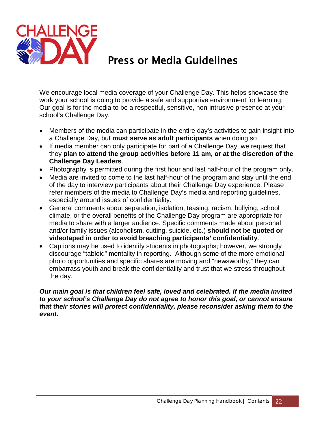

### Press or Media Guidelines

<span id="page-23-0"></span>We encourage local media coverage of your Challenge Day. This helps showcase the work your school is doing to provide a safe and supportive environment for learning. Our goal is for the media to be a respectful, sensitive, non-intrusive presence at your school's Challenge Day.

- Members of the media can participate in the entire day's activities to gain insight into a Challenge Day, but **must serve as adult participants** when doing so
- If media member can only participate for part of a Challenge Day, we request that they **plan to attend the group activities before 11 am, or at the discretion of the Challenge Day Leaders**.
- Photography is permitted during the first hour and last half-hour of the program only.
- Media are invited to come to the last half-hour of the program and stay until the end of the day to interview participants about their Challenge Day experience. Please refer members of the media to Challenge Day's media and reporting guidelines, especially around issues of confidentiality.
- General comments about separation, isolation, teasing, racism, bullying, school climate, or the overall benefits of the Challenge Day program are appropriate for media to share with a larger audience. Specific comments made about personal and/or family issues (alcoholism, cutting, suicide, etc.) **should not be quoted or videotaped in order to avoid breaching participants' confidentiality**.
- Captions may be used to identify students in photographs; however, we strongly discourage "tabloid" mentality in reporting. Although some of the more emotional photo opportunities and specific shares are moving and "newsworthy," they can embarrass youth and break the confidentiality and trust that we stress throughout the day.

#### *Our main goal is that children feel safe, loved and celebrated. If the media invited to your school's Challenge Day do not agree to honor this goal, or cannot ensure that their stories will protect confidentiality, please reconsider asking them to the event.*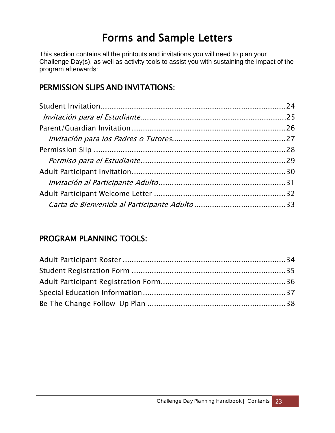### Forms and Sample Letters

<span id="page-24-0"></span>This section contains all the printouts and invitations you will need to plan your Challenge Day(s), as well as activity tools to assist you with sustaining the impact of the program afterwards:

### PERMISSION SLIPS AND INVITATIONS:

#### PROGRAM PLANNING TOOLS: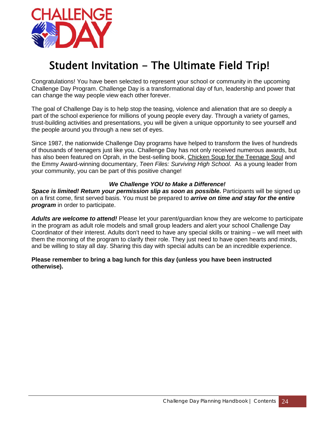

### <span id="page-25-0"></span>Student Invitation - The Ultimate Field Trip!

Congratulations! You have been selected to represent your school or community in the upcoming Challenge Day Program. Challenge Day is a transformational day of fun, leadership and power that can change the way people view each other forever.

The goal of Challenge Day is to help stop the teasing, violence and alienation that are so deeply a part of the school experience for millions of young people every day. Through a variety of games, trust-building activities and presentations, you will be given a unique opportunity to see yourself and the people around you through a new set of eyes.

Since 1987, the nationwide Challenge Day programs have helped to transform the lives of hundreds of thousands of teenagers just like you. Challenge Day has not only received numerous awards, but has also been featured on Oprah, in the best-selling book, Chicken Soup for the Teenage Soul and the Emmy Award-winning documentary, *Teen Files: Surviving High School*. As a young leader from your community, you can be part of this positive change!

#### *We Challenge YOU to Make a Difference!*

*Space is limited! Return your permission slip as soon as possible.* Participants will be signed up on a first come, first served basis. You must be prepared to *arrive on time and stay for the entire program* in order to participate.

*Adults are welcome to attend!* Please let your parent/guardian know they are welcome to participate in the program as adult role models and small group leaders and alert your school Challenge Day Coordinator of their interest. Adults don't need to have any special skills or training – we will meet with them the morning of the program to clarify their role. They just need to have open hearts and minds, and be willing to stay all day. Sharing this day with special adults can be an incredible experience.

#### **Please remember to bring a bag lunch for this day (unless you have been instructed otherwise).**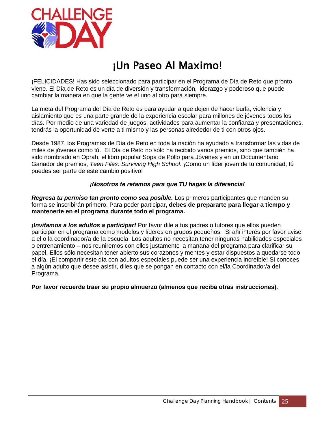

### ¡Un Paseo Al Maximo!

<span id="page-26-0"></span>¡FELICIDADES! Has sido seleccionado para participar en el Programa de Día de Reto que pronto viene. El Día de Reto es un día de diversión y transformación, liderazgo y poderoso que puede cambiar la manera en que la gente ve el uno al otro para siempre.

La meta del Programa del Día de Reto es para ayudar a que dejen de hacer burla, violencia y aislamiento que es una parte grande de la experiencia escolar para millones de jóvenes todos los días. Por medio de una variedad de juegos, actividades para aumentar la confianza y presentaciones, tendrás la oportunidad de verte a ti mismo y las personas alrededor de ti con otros ojos.

Desde 1987, los Programas de Día de Reto en toda la nación ha ayudado a transformar las vidas de miles de jóvenes como tú. El Día de Reto no sólo ha recibido varios premios, sino que también ha sido nombrado en Oprah, el libro popular Sopa de Pollo para Jóvenes y en un Documentario Ganador de premios, *Teen Files: Surviving High School*. ¡Como un líder joven de tu comunidad, tú puedes ser parte de este cambio positivo!

#### *¡Nosotros te retamos para que TU hagas la diferencia!*

*Regresa tu permiso tan pronto como sea posible.* Los primeros participantes que manden su forma se inscribirán primero. Para poder participar**, debes de prepararte para llegar a tiempo y mantenerte en el programa durante todo el programa.** 

*¡Invitamos a los adultos a participar!* Por favor dile a tus padres o tutores que ellos pueden participar en el programa como modelos y líderes en grupos pequeños. Si ahí interés por favor avise a el o la coordinador/a de la escuela. Los adultos no necesitan tener ningunas habilidades especiales o entrenamiento – nos reuniremos con ellos justamente la manana del programa para clarificar su papel. Ellos sólo necesitan tener abierto sus corazones y mentes y estar dispuestos a quedarse todo el día. ¡El compartir este día con adultos especiales puede ser una experiencia increíble! Si conoces a algún adulto que desee asistir, diles que se pongan en contacto con el/la Coordinador/a del Programa.

**Por favor recuerde traer su propio almuerzo (almenos que reciba otras instrucciones)**.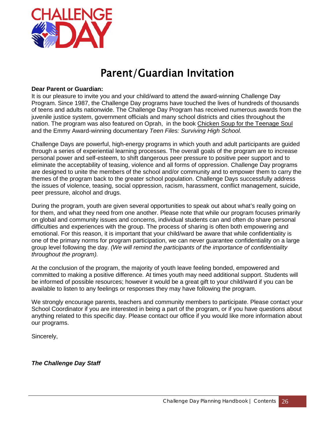

### Parent/Guardian Invitation

#### <span id="page-27-0"></span>**Dear Parent or Guardian:**

It is our pleasure to invite you and your child/ward to attend the award-winning Challenge Day Program. Since 1987, the Challenge Day programs have touched the lives of hundreds of thousands of teens and adults nationwide. The Challenge Day Program has received numerous awards from the juvenile justice system, government officials and many school districts and cities throughout the nation. The program was also featured on Oprah, in the book Chicken Soup for the Teenage Soul and the Emmy Award-winning documentary *Teen Files: Surviving High School.* 

Challenge Days are powerful, high-energy programs in which youth and adult participants are guided through a series of experiential learning processes. The overall goals of the program are to increase personal power and self-esteem, to shift dangerous peer pressure to positive peer support and to eliminate the acceptability of teasing, violence and all forms of oppression. Challenge Day programs are designed to unite the members of the school and/or community and to empower them to carry the themes of the program back to the greater school population. Challenge Days successfully address the issues of violence, teasing, social oppression, racism, harassment, conflict management, suicide, peer pressure, alcohol and drugs.

During the program, youth are given several opportunities to speak out about what's really going on for them, and what they need from one another. Please note that while our program focuses primarily on global and community issues and concerns, individual students can and often do share personal difficulties and experiences with the group. The process of sharing is often both empowering and emotional. For this reason, it is important that your child/ward be aware that while confidentiality is one of the primary norms for program participation, we can never guarantee confidentiality on a large group level following the day. *(We will remind the participants of the importance of confidentiality throughout the program).*

At the conclusion of the program, the majority of youth leave feeling bonded, empowered and committed to making a positive difference. At times youth may need additional support. Students will be informed of possible resources; however it would be a great gift to your child/ward if you can be available to listen to any feelings or responses they may have following the program.

We strongly encourage parents, teachers and community members to participate. Please contact your School Coordinator if you are interested in being a part of the program, or if you have questions about anything related to this specific day. Please contact our office if you would like more information about our programs.

Sincerely,

*The Challenge Day Staff*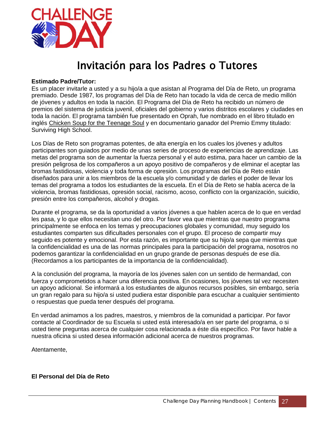

### Invitación para los Padres o Tutores

#### <span id="page-28-0"></span>**Estimado Padre/Tutor:**

Es un placer invitarle a usted y a su hijo/a a que asistan al Programa del Día de Reto, un programa premiado. Desde 1987, los programas del Día de Reto han tocado la vida de cerca de medio millón de jóvenes y adultos en toda la nación. El Programa del Día de Reto ha recibido un número de premios del sistema de justicia juvenil, oficiales del gobierno y varios distritos escolares y ciudades en toda la nación. El programa también fue presentado en Oprah, fue nombrado en el libro titulado en inglés Chicken Soup for the Teenage Soul y en documentario ganador del Premio Emmy titulado: Surviving High School.

Los Días de Reto son programas potentes, de alta energía en los cuales los jóvenes y adultos participantes son guiados por medio de unas series de proceso de experiencias de aprendizaje. Las metas del programa son de aumentar la fuerza personal y el auto estima, para hacer un cambio de la presión peligrosa de los compañeros a un apoyo positivo de compañeros y de eliminar el aceptar las bromas fastidiosas, violencia y toda forma de opresión. Los programas del Día de Reto están diseñados para unir a los miembros de la escuela y/o comunidad y de darles el poder de llevar los temas del programa a todos los estudiantes de la escuela. En el Día de Reto se habla acerca de la violencia, bromas fastidiosas, opresión social, racismo, acoso, conflicto con la organización, suicidio, presión entre los compañeros, alcohol y drogas.

Durante el programa, se da la oportunidad a varios jóvenes a que hablen acerca de lo que en verdad les pasa, y lo que ellos necesitan uno del otro. Por favor vea que mientras que nuestro programa principalmente se enfoca en los temas y preocupaciones globales y comunidad, muy seguido los estudiantes comparten sus dificultades personales con el grupo. El proceso de compartir muy seguido es potente y emocional. Por esta razón, es importante que su hijo/a sepa que mientras que la confidencialidad es una de las normas principales para la participación del programa, nosotros no podemos garantizar la confidencialidad en un grupo grande de personas después de ese día. (Recordamos a los participantes de la importancia de la confidencialidad).

A la conclusión del programa, la mayoría de los jóvenes salen con un sentido de hermandad, con fuerza y comprometidos a hacer una diferencia positiva. En ocasiones, los jóvenes tal vez necesiten un apoyo adicional. Se informará a los estudiantes de algunos recursos posibles, sin embargo, sería un gran regalo para su hijo/a si usted pudiera estar disponible para escuchar a cualquier sentimiento o respuestas que pueda tener después del programa.

En verdad animamos a los padres, maestros, y miembros de la comunidad a participar. Por favor contacte al Coordinador de su Escuela si usted está interesado/a en ser parte del programa, o si usted tiene preguntas acerca de cualquier cosa relacionada a éste día específico. Por favor hable a nuestra oficina si usted desea información adicional acerca de nuestros programas.

Atentamente,

#### **El Personal del Día de Reto**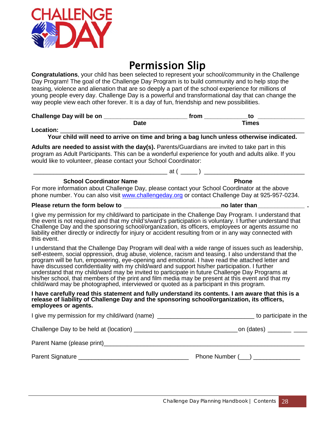

### Permission Slip

<span id="page-29-0"></span>**Congratulations**, your child has been selected to represent your school/community in the Challenge Day Program! The goal of the Challenge Day Program is to build community and to help stop the teasing, violence and alienation that are so deeply a part of the school experience for millions of young people every day. Challenge Day is a powerful and transformational day that can change the way people view each other forever. It is a day of fun, friendship and new possibilities.

**Challenge Day will be on \_\_\_\_\_\_\_\_\_\_\_\_\_\_\_\_\_\_\_\_\_\_\_\_\_ from \_\_\_\_\_\_\_\_\_\_\_\_\_to \_\_\_\_\_\_\_\_\_\_\_\_\_\_ Date Times Location:** \_\_\_\_\_\_\_\_\_\_\_\_\_\_\_\_\_\_\_\_\_\_\_\_\_\_\_\_\_\_\_\_\_\_\_\_\_\_\_\_\_\_\_\_\_\_\_\_\_\_\_\_\_\_\_\_\_\_\_\_\_\_\_\_\_\_\_\_\_\_\_\_\_

**Your child will need to arrive on time and bring a bag lunch unless otherwise indicated.**

**Adults are needed to assist with the day(s).** Parents/Guardians are invited to take part in this program as Adult Participants. This can be a wonderful experience for youth and adults alike. If you would like to volunteer, please contact your School Coordinator:

\_\_\_\_\_\_\_\_\_\_\_\_\_\_\_\_\_\_\_\_\_\_\_\_\_\_\_\_\_\_\_\_\_\_\_\_\_\_\_\_ at ( \_\_\_\_\_ ) \_\_\_\_\_\_\_\_\_\_\_\_\_\_\_\_\_\_\_\_\_\_\_\_\_\_\_\_\_\_ **School Coordinator Name Phone** 

For more information about Challenge Day, please contact your School Coordinator at the above phone number. You can also visit [www.challengeday.org](http://www.challengeday.org/) or contact Challenge Day at 925-957-0234.

#### **Please return the form below to the set of the set of the set of the set of the set of the set of the set of the set of the set of the set of the set of the set of the set of the set of the set of the set of the set of th**

I give my permission for my child/ward to participate in the Challenge Day Program. I understand that the event is not required and that my child's/ward's participation is voluntary. I further understand that Challenge Day and the sponsoring school/organization, its officers, employees or agents assume no liability either directly or indirectly for injury or accident resulting from or in any way connected with this event.

I understand that the Challenge Day Program will deal with a wide range of issues such as leadership, self-esteem, social oppression, drug abuse, violence, racism and teasing. I also understand that the program will be fun, empowering, eye-opening and emotional. I have read the attached letter and have discussed confidentiality with my child/ward and support his/her participation. I further understand that my child/ward may be invited to participate in future Challenge Day Programs at his/her school, that members of the print and film media may be present at this event and that my child/ward may be photographed, interviewed or quoted as a participant in this program.

#### **I have carefully read this statement and fully understand its contents. I am aware that this is a release of liability of Challenge Day and the sponsoring school/organization, its officers, employees or agents.**

| I give my permission for my child/ward (name) __________________________________ | to participate in the   |
|----------------------------------------------------------------------------------|-------------------------|
|                                                                                  |                         |
|                                                                                  |                         |
|                                                                                  | Phone Number $(\_\_\_)$ |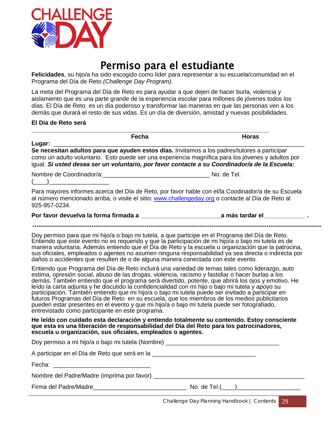

### Permiso para el estudiante

<span id="page-30-0"></span>**Felicidades**, su hijo/a ha sido escogido como líder para representar a su escuela/comunidad en el Programa del Día de Reto *(Challenge Day Program).*

La meta del Programa del Día de Reto es para ayudar a que dejen de hacer burla, violencia y aislamiento que es una parte grande de la experiencia escolar para millones de jóvenes todos los días. El Día de Reto es un día poderoso y transformar las maneras en que las personas ven a los demás que durará el resto de sus vidas. Es un día de diversión, amistad y nuevas posibilidades.

#### **El Día de Reto será**

| Fecha                                                                                                                                                                                                                                                                                                                                                                                                                                                                                                                                                                                                                                                                                                                                                                     | <b>Horas</b> |
|---------------------------------------------------------------------------------------------------------------------------------------------------------------------------------------------------------------------------------------------------------------------------------------------------------------------------------------------------------------------------------------------------------------------------------------------------------------------------------------------------------------------------------------------------------------------------------------------------------------------------------------------------------------------------------------------------------------------------------------------------------------------------|--------------|
| Lugar: $\frac{1}{\sqrt{1-\frac{1}{2}}\cdot\frac{1}{2}}$<br>Se necesitan adultos para que ayuden estos días. Invitamos a los padres/tutores a participar<br>como un adulto voluntario. Esto puede ser una experiencia magnífica para los jóvenes y adultos por<br>igual. Si usted desea ser un voluntario, por favor contacte a su Coordinador/a de la Escuela:                                                                                                                                                                                                                                                                                                                                                                                                            |              |
|                                                                                                                                                                                                                                                                                                                                                                                                                                                                                                                                                                                                                                                                                                                                                                           |              |
| Para mayores informes acerca del Día de Reto, por favor hable con el/la Coodinador/a de su Escuela<br>al número mencionado arriba, o visite el sitio: www.challengeday.org o contacte al Día de Reto al<br>925-957-0234.                                                                                                                                                                                                                                                                                                                                                                                                                                                                                                                                                  |              |
|                                                                                                                                                                                                                                                                                                                                                                                                                                                                                                                                                                                                                                                                                                                                                                           |              |
| Doy permiso para que mi hijo/a o bajo mi tutela, a que participe en el Programa del Día de Reto.<br>Entiendo que éste evento no es requerido y que la participación de mi hijo/a o bajo mi tutela es de<br>manera voluntaria. Además entiendo que el Día de Reto y la escuela u organización que la patrocina,<br>sus oficiales, empleados o agentes no asumen ninguna responsabilidad ya sea directa o indirecta por<br>daños o accidentes que resulten de o de alguna manera conectada con este evento.                                                                                                                                                                                                                                                                 |              |
| Entiendo que Programa del Día de Reto incluirá una variedad de temas tales como liderazgo, auto<br>estima, opresión social, abuso de las drogas, violencia, racismo y fastidiar o hacer burlas a los<br>demás. También entiendo que el programa será divertido, potente, que abrirá los ojos y emotivo. He<br>leído la carta adjunta y he discutido la confidencialidad con mi hijo o bajo mi tutela y apoyo su<br>participación. También entiendo que mi hijo/a o bajo mi tutela puede ser invitado a participar en<br>futuros Programas del Día de Reto en su escuela, que los miembros de los medios publicitarios<br>pueden estar presentes en el evento y que mi hijo/a o bajo mi tutela puede ser fotografiado,<br>entrevistado como participante en este programa. |              |
| He leído con cuidado esta declaración y entiendo totalmente su contenido. Estoy consciente<br>que esta es una liberación de responsabilidad del Día del Reto para los patrocinadores,<br>escuela u organización, sus oficiales, empleados o agentes.                                                                                                                                                                                                                                                                                                                                                                                                                                                                                                                      |              |
| Doy permiso a mi hijo/a o bajo mi tutela (Nombre) _______________________________                                                                                                                                                                                                                                                                                                                                                                                                                                                                                                                                                                                                                                                                                         |              |
| A participar en el Día de Reto que será en la el producto de la contrata de la elección de la contrata de la c                                                                                                                                                                                                                                                                                                                                                                                                                                                                                                                                                                                                                                                            |              |
| Fecha: The Contract of the Contract of the Contract of the Contract of the Contract of the Contract of the Contract of the Contract of the Contract of the Contract of the Contract of the Contract of the Contract of the Con                                                                                                                                                                                                                                                                                                                                                                                                                                                                                                                                            |              |
|                                                                                                                                                                                                                                                                                                                                                                                                                                                                                                                                                                                                                                                                                                                                                                           |              |
|                                                                                                                                                                                                                                                                                                                                                                                                                                                                                                                                                                                                                                                                                                                                                                           |              |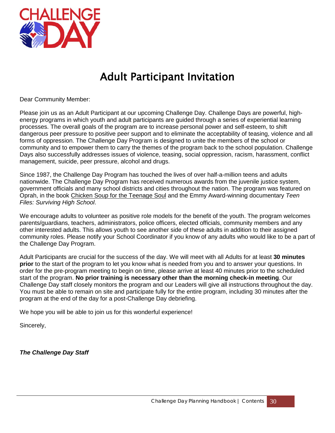

### Adult Participant Invitation

<span id="page-31-0"></span>Dear Community Member:

Please join us as an Adult Participant at our upcoming Challenge Day. Challenge Days are powerful, highenergy programs in which youth and adult participants are guided through a series of experiential learning processes. The overall goals of the program are to increase personal power and self-esteem, to shift dangerous peer pressure to positive peer support and to eliminate the acceptability of teasing, violence and all forms of oppression. The Challenge Day Program is designed to unite the members of the school or community and to empower them to carry the themes of the program back to the school population. Challenge Days also successfully addresses issues of violence, teasing, social oppression, racism, harassment, conflict management, suicide, peer pressure, alcohol and drugs.

Since 1987, the Challenge Day Program has touched the lives of over half-a-million teens and adults nationwide. The Challenge Day Program has received numerous awards from the juvenile justice system, government officials and many school districts and cities throughout the nation. The program was featured on Oprah, in the book Chicken Soup for the Teenage Soul and the Emmy Award-winning documentary *Teen Files: Surviving High School*.

We encourage adults to volunteer as positive role models for the benefit of the youth. The program welcomes parents/guardians, teachers, administrators, police officers, elected officials, community members and any other interested adults. This allows youth to see another side of these adults in addition to their assigned community roles. Please notify your School Coordinator if you know of any adults who would like to be a part of the Challenge Day Program.

Adult Participants are crucial for the success of the day. We will meet with all Adults for at least **30 minutes prior** to the start of the program to let you know what is needed from you and to answer your questions. In order for the pre-program meeting to begin on time, please arrive at least 40 minutes prior to the scheduled start of the program. **No prior training is necessary other than the morning check-in meeting**. Our Challenge Day staff closely monitors the program and our Leaders will give all instructions throughout the day. You must be able to remain on site and participate fully for the entire program, including 30 minutes after the program at the end of the day for a post-Challenge Day debriefing.

We hope you will be able to join us for this wonderful experience!

Sincerely,

*The Challenge Day Staff*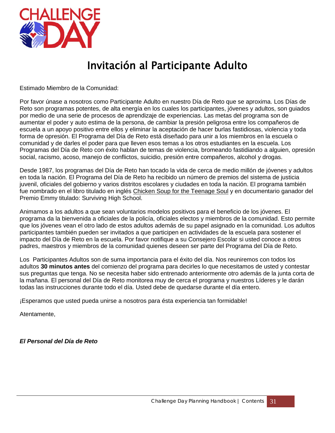

### Invitación al Participante Adulto

<span id="page-32-0"></span>Estimado Miembro de la Comunidad:

Por favor únase a nosotros como Participante Adulto en nuestro Día de Reto que se aproxima. Los Días de Reto son programas potentes, de alta energía en los cuales los participantes, jóvenes y adultos, son guiados por medio de una serie de procesos de aprendizaje de experiencias. Las metas del programa son de aumentar el poder y auto estima de la persona, de cambiar la presión peligrosa entre los compañeros de escuela a un apoyo positivo entre ellos y eliminar la aceptación de hacer burlas fastidiosas, violencia y toda forma de opresión. El Programa del Día de Reto está diseñado para unir a los miembros en la escuela o comunidad y de darles el poder para que lleven esos temas a los otros estudiantes en la escuela. Los Programas del Día de Reto con éxito hablan de temas de violencia, bromeando fastidiando a alguien, opresión social, racismo, acoso, manejo de conflictos, suicidio, presión entre compañeros, alcohol y drogas.

Desde 1987, los programas del Día de Reto han tocado la vida de cerca de medio millón de jóvenes y adultos en toda la nación. El Programa del Día de Reto ha recibido un número de premios del sistema de justicia juvenil, oficiales del gobierno y varios distritos escolares y ciudades en toda la nación. El programa también fue nombrado en el libro titulado en inglés Chicken Soup for the Teenage Soul y en documentario ganador del Premio Emmy titulado: Surviving High School.

Animamos a los adultos a que sean voluntarios modelos positivos para el beneficio de los jóvenes. El programa da la bienvenida a oficiales de la policía, oficiales electos y miembros de la comunidad. Esto permite que los jóvenes vean el otro lado de estos adultos además de su papel asignado en la comunidad. Los adultos participantes también pueden ser invitados a que participen en actividades de la escuela para sostener el impacto del Día de Reto en la escuela. Por favor notifique a su Consejero Escolar si usted conoce a otros padres, maestros y miembros de la comunidad quienes deseen ser parte del Programa del Día de Reto.

Los Participantes Adultos son de suma importancia para el éxito del día. Nos reuniremos con todos los adultos **30 minutos antes** del comienzo del programa para decirles lo que necesitamos de usted y contestar sus preguntas que tenga. No se necesita haber sido entrenado anteriormente otro además de la junta corta de la mañana. El personal del Día de Reto monitorea muy de cerca el programa y nuestros Líderes y le darán todas las instrucciones durante todo el día. Usted debe de quedarse durante el día entero.

¡Esperamos que usted pueda unirse a nosotros para ésta experiencia tan formidable!

Atentamente,

*El Personal del Día de Reto*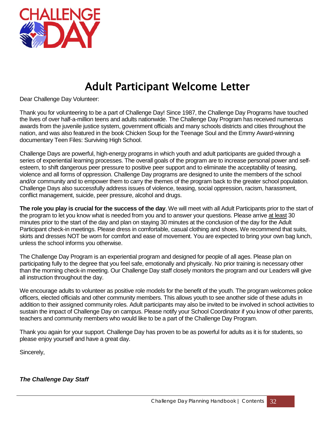

### Adult Participant Welcome Letter

<span id="page-33-0"></span>Dear Challenge Day Volunteer:

Thank you for volunteering to be a part of Challenge Day! Since 1987, the Challenge Day Programs have touched the lives of over half-a-million teens and adults nationwide. The Challenge Day Program has received numerous awards from the juvenile justice system, government officials and many schools districts and cities throughout the nation, and was also featured in the book Chicken Soup for the Teenage Soul and the Emmy Award-winning documentary Teen Files: Surviving High School.

Challenge Days are powerful, high-energy programs in which youth and adult participants are guided through a series of experiential learning processes. The overall goals of the program are to increase personal power and selfesteem, to shift dangerous peer pressure to positive peer support and to eliminate the acceptability of teasing, violence and all forms of oppression. Challenge Day programs are designed to unite the members of the school and/or community and to empower them to carry the themes of the program back to the greater school population. Challenge Days also successfully address issues of violence, teasing, social oppression, racism, harassment, conflict management, suicide, peer pressure, alcohol and drugs.

**The role you play is crucial for the success of the day**. We will meet with all Adult Participants prior to the start of the program to let you know what is needed from you and to answer your questions. Please arrive at least 30 minutes prior to the start of the day and plan on staying 30 minutes at the conclusion of the day for the Adult Participant check-in meetings. Please dress in comfortable, casual clothing and shoes. We recommend that suits, skirts and dresses NOT be worn for comfort and ease of movement. You are expected to bring your own bag lunch, unless the school informs you otherwise.

The Challenge Day Program is an experiential program and designed for people of all ages. Please plan on participating fully to the degree that you feel safe, emotionally and physically. No prior training is necessary other than the morning check-in meeting. Our Challenge Day staff closely monitors the program and our Leaders will give all instruction throughout the day.

We encourage adults to volunteer as positive role models for the benefit of the youth. The program welcomes police officers, elected officials and other community members. This allows youth to see another side of these adults in addition to their assigned community roles. Adult participants may also be invited to be involved in school activities to sustain the impact of Challenge Day on campus. Please notify your School Coordinator if you know of other parents, teachers and community members who would like to be a part of the Challenge Day Program.

Thank you again for your support. Challenge Day has proven to be as powerful for adults as it is for students, so please enjoy yourself and have a great day.

Sincerely,

*The Challenge Day Staff*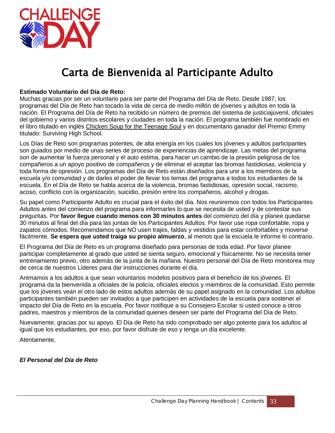

### Carta de Bienvenida al Participante Adulto

#### <span id="page-34-0"></span>**Estimado Voluntario del Día de Reto:**

Muchas gracias por ser un voluntario para ser parte del Programa del Día de Reto. Desde 1987, los programas del Día de Reto han tocado la vida de cerca de medio millón de jóvenes y adultos en toda la nación. El Programa del Día de Reto ha recibido un número de premios del sistema de justiciajuvenil, oficiales del gobierno y varios distritos escolares y ciudades en toda la nación. El programa también fue nombrado en el libro titulado en inglés Chicken Soup for the Teenage Soul y en documentario ganador del Premio Emmy titulado: Surviving High School.

Los Días de Reto son programas potentes, de alta energía en los cuales los jóvenes y adultos participantes son guiados por medio de unas series de proceso de experiencias de aprendizaje. Las metas del programa son de aumentar la fuerza personal y el auto estima, para hacer un cambio de la presión peligrosa de los compañeros a un apoyo positivo de compañeros y de eliminar el aceptar las bromas fastidiosas, violencia y toda forma de opresión. Los programas del Día de Reto están diseñados para unir a los miembros de la escuela y/o comunidad y de darles el poder de llevar los temas del programa a todos los estudiantes de la escuela. En el Día de Reto se habla acerca de la violencia, bromas fastidiosas, opresión social, racismo, acoso, conflicto con la organización, suicidio, presión entre los compañeros, alcohol y drogas.

Su papel como Participante Adulto es crucial para el éxito del día. Nos reuniremos con todos los Participantes Adultos antes del comienzo del programa para informarles lo que se necesita de usted y de contestar sus preguntas. Por **favor llegue cuando menos con 30 minutos antes** del comienzo del día y planee quedarse 30 minutos al final del día para las juntas de los Participantes Adultos. Por favor use ropa confortable, ropa y zapatos cómodos. Recomendamos que NO usen trajes, faldas y vestidos para estar confortables y moverse fácilmente. **Se espera que usted traiga su propio almuerzo**, al menos que la escuela le informe lo contrario.

El Programa del Día de Reto es un programa diseñado para personas de toda edad. Por favor planee participar completamente al grado que usted se sienta seguro, emocional y físicamente. No se necesita tener entrenamiento previo, otro además de la junta de la mañana. Nuestro personal del Día de Reto monitorea muy de cerca de nuestros Líderes para dar instrucciones durante el día.

Animamos a los adultos a que sean voluntarios modelos positivos para el beneficio de los jóvenes. El programa da la bienvenida a oficiales de la policía, oficiales electos y miembros de la comunidad. Esto permite que los jóvenes vean el otro lado de estos adultos además de su papel asignado en la comunidad. Los adultos participantes también pueden ser invitados a que participen en actividades de la escuela para sostener el impacto del Día de Reto en la escuela. Por favor notifique a su Consejero Escolar si usted conoce a otros padres, maestros y miembros de la comunidad quienes deseen ser parte del Programa del Día de Reto.

Nuevamente, gracias por su apoyo. El Día de Reto ha sido comprobado ser algo potente para los adultos al igual que los estudiantes, por eso, por favor disfrute de eso y tenga un día excelente.

Atentamente,

#### *El Personal del Día de Reto*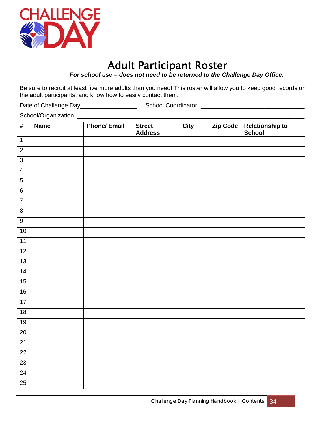

### Adult Participant Roster

*For school use – does not need to be returned to the Challenge Day Office.*

<span id="page-35-0"></span>Be sure to recruit at least five more adults than you need! This roster will allow you to keep good records on the adult participants, and know how to easily contact them.

Date of Challenge Day\_\_\_\_\_\_\_\_\_\_\_\_\_\_\_\_\_ School Coordinator \_\_\_\_\_\_\_\_\_\_\_\_\_\_\_\_\_\_\_\_\_\_\_\_\_\_\_\_\_\_\_

School/Organization \_\_\_\_\_\_\_\_\_\_\_\_\_\_\_\_\_\_\_\_\_\_\_\_\_\_\_\_\_\_\_\_\_\_\_\_\_\_\_\_\_\_\_\_\_\_\_\_\_\_\_\_\_\_\_\_\_\_\_\_\_\_\_\_\_\_\_\_

| $\overline{\#}$ | <b>Name</b> | <b>Phone/ Email</b> | <b>Street</b><br><b>Address</b> | <b>City</b> | Zip Code | Relationship to<br>School |
|-----------------|-------------|---------------------|---------------------------------|-------------|----------|---------------------------|
| $\overline{1}$  |             |                     |                                 |             |          |                           |
| $\overline{2}$  |             |                     |                                 |             |          |                           |
| $\overline{3}$  |             |                     |                                 |             |          |                           |
| $\overline{4}$  |             |                     |                                 |             |          |                           |
| $\overline{5}$  |             |                     |                                 |             |          |                           |
| $\overline{6}$  |             |                     |                                 |             |          |                           |
| $\overline{7}$  |             |                     |                                 |             |          |                           |
| $\overline{8}$  |             |                     |                                 |             |          |                           |
| $\overline{9}$  |             |                     |                                 |             |          |                           |
| 10              |             |                     |                                 |             |          |                           |
| 11              |             |                     |                                 |             |          |                           |
| 12              |             |                     |                                 |             |          |                           |
| 13              |             |                     |                                 |             |          |                           |
| 14              |             |                     |                                 |             |          |                           |
| 15              |             |                     |                                 |             |          |                           |
| 16              |             |                     |                                 |             |          |                           |
| $\overline{17}$ |             |                     |                                 |             |          |                           |
| 18              |             |                     |                                 |             |          |                           |
| 19              |             |                     |                                 |             |          |                           |
| $\overline{20}$ |             |                     |                                 |             |          |                           |
| 21              |             |                     |                                 |             |          |                           |
| $\overline{22}$ |             |                     |                                 |             |          |                           |
| $\overline{23}$ |             |                     |                                 |             |          |                           |
| 24              |             |                     |                                 |             |          |                           |
| 25              |             |                     |                                 |             |          |                           |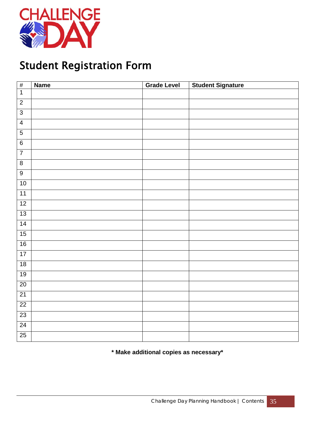

### <span id="page-36-0"></span>Student Registration Form

| $\overline{\#}$ | <b>Name</b> | <b>Grade Level</b> | <b>Student Signature</b> |
|-----------------|-------------|--------------------|--------------------------|
| $\overline{1}$  |             |                    |                          |
| $\overline{2}$  |             |                    |                          |
| $\overline{3}$  |             |                    |                          |
| $\overline{4}$  |             |                    |                          |
| $\overline{5}$  |             |                    |                          |
| $\overline{6}$  |             |                    |                          |
| $\overline{7}$  |             |                    |                          |
| $\overline{8}$  |             |                    |                          |
| $\overline{9}$  |             |                    |                          |
| 10              |             |                    |                          |
| 11              |             |                    |                          |
| 12              |             |                    |                          |
| 13              |             |                    |                          |
| 14              |             |                    |                          |
| 15              |             |                    |                          |
| 16              |             |                    |                          |
| 17              |             |                    |                          |
| 18              |             |                    |                          |
| 19              |             |                    |                          |
| $20\,$          |             |                    |                          |
| 21              |             |                    |                          |
| $\overline{22}$ |             |                    |                          |
| $\overline{23}$ |             |                    |                          |
| 24              |             |                    |                          |
| $\overline{25}$ |             |                    |                          |

#### **\* Make additional copies as necessary\***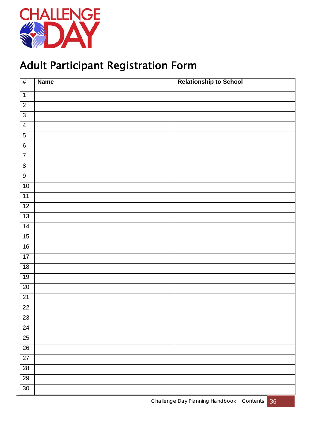

### <span id="page-37-0"></span>Adult Participant Registration Form

| #               | <b>Name</b> | <b>Relationship to School</b> |
|-----------------|-------------|-------------------------------|
| $\overline{1}$  |             |                               |
| $\overline{2}$  |             |                               |
| $\overline{3}$  |             |                               |
| $\overline{4}$  |             |                               |
| $\overline{5}$  |             |                               |
| $6\overline{6}$ |             |                               |
| $\overline{7}$  |             |                               |
| $\overline{8}$  |             |                               |
| $\overline{9}$  |             |                               |
| 10              |             |                               |
| $\overline{11}$ |             |                               |
| $\overline{12}$ |             |                               |
| 13              |             |                               |
| $\overline{14}$ |             |                               |
| 15              |             |                               |
| 16              |             |                               |
| 17              |             |                               |
| 18              |             |                               |
| 19              |             |                               |
| $\overline{20}$ |             |                               |
| $\overline{21}$ |             |                               |
| 22              |             |                               |
| $\overline{23}$ |             |                               |
| $\overline{24}$ |             |                               |
| $\overline{25}$ |             |                               |
| $\overline{26}$ |             |                               |
| $\overline{27}$ |             |                               |
| $\overline{28}$ |             |                               |
| $\overline{29}$ |             |                               |
| 30              |             |                               |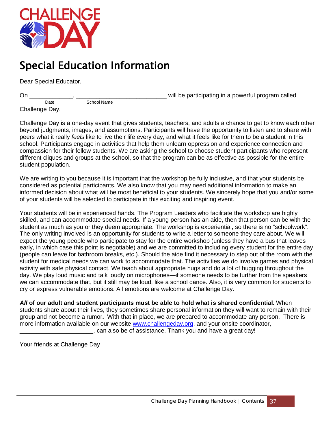

### <span id="page-38-0"></span>Special Education Information

Dear Special Educator,

On \_\_\_\_\_\_\_\_\_\_\_\_\_, \_\_\_\_\_\_\_\_\_\_\_\_\_\_\_\_\_\_\_\_\_\_\_\_\_\_\_ will be participating in a powerful program called

Date School Name Challenge Day.

Challenge Day is a one-day event that gives students, teachers, and adults a chance to get to know each other beyond judgments, images, and assumptions. Participants will have the opportunity to listen and to share with peers what it really *feels* like to live their life every day, and what it feels like for them to be a student in this school. Participants engage in activities that help them unlearn oppression and experience connection and compassion for their fellow students. We are asking the school to choose student participants who represent different cliques and groups at the school, so that the program can be as effective as possible for the entire student population.

We are writing to you because it is important that the workshop be fully inclusive, and that your students be considered as potential participants. We also know that you may need additional information to make an informed decision about what will be most beneficial to your students. We sincerely hope that you and/or some of your students will be selected to participate in this exciting and inspiring event.

Your students will be in experienced hands. The Program Leaders who facilitate the workshop are highly skilled, and can accommodate special needs. If a young person has an aide, then that person can be with the student as much as you or they deem appropriate. The workshop is experiential, so there is no "schoolwork". The only writing involved is an opportunity for students to write a letter to someone they care about. We will expect the young people who participate to stay for the entire workshop (unless they have a bus that leaves early, in which case this point is negotiable) and we are committed to including every student for the entire day (people can leave for bathroom breaks, etc.). Should the aide find it necessary to step out of the room with the student for medical needs we can work to accommodate that. The activities we do involve games and physical activity with safe physical contact. We teach about appropriate hugs and do a lot of hugging throughout the day. We play loud music and talk loudly on microphones—if someone needs to be further from the speakers we can accommodate that, but it still may be loud, like a school dance. Also, it is very common for students to cry or express vulnerable emotions. All emotions are welcome at Challenge Day.

*All* **of our adult and student participants must be able to hold what is shared confidential.** When students share about their lives, they sometimes share personal information they will want to remain with their group and not become a rumor**.** With that in place, we are prepared to accommodate any person. There is more information available on our website [www.challengeday.org,](http://www.challengeday.org/) and your onsite coordinator, \_\_\_\_\_\_\_\_\_\_\_\_\_\_\_\_\_\_\_\_\_\_, can also be of assistance. Thank you and have a great day!

Your friends at Challenge Day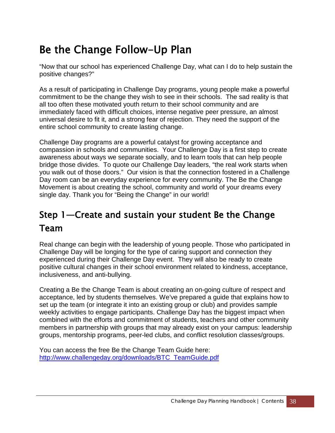### <span id="page-39-0"></span>Be the Change Follow-Up Plan

"Now that our school has experienced Challenge Day, what can I do to help sustain the positive changes?"

As a result of participating in Challenge Day programs, young people make a powerful commitment to be the change they wish to see in their schools. The sad reality is that all too often these motivated youth return to their school community and are immediately faced with difficult choices, intense negative peer pressure, an almost universal desire to fit it, and a strong fear of rejection. They need the support of the entire school community to create lasting change.

Challenge Day programs are a powerful catalyst for growing acceptance and compassion in schools and communities. Your Challenge Day is a first step to create awareness about ways we separate socially, and to learn tools that can help people bridge those divides. To quote our Challenge Day leaders, "the real work starts when you walk out of those doors." Our vision is that the connection fostered in a Challenge Day room can be an everyday experience for every community. The Be the Change Movement is about creating the school, community and world of your dreams every single day. Thank you for "Being the Change" in our world!

### Step 1—Create and sustain your student Be the Change Team

Real change can begin with the leadership of young people. Those who participated in Challenge Day will be longing for the type of caring support and connection they experienced during their Challenge Day event. They will also be ready to create positive cultural changes in their school environment related to kindness, acceptance, inclusiveness, and anti-bullying.

Creating a Be the Change Team is about creating an on-going culture of respect and acceptance, led by students themselves. We've prepared a guide that explains how to set up the team (or integrate it into an existing group or club) and provides sample weekly activities to engage participants. Challenge Day has the biggest impact when combined with the efforts and commitment of students, teachers and other community members in partnership with groups that may already exist on your campus: leadership groups, mentorship programs, peer-led clubs, and conflict resolution classes/groups.

You can access the free Be the Change Team Guide here: [http://www.challengeday.org/downloads/BTC\\_TeamGuide.pdf](http://www.challengeday.org/downloads/BTC_TeamGuide.pdf)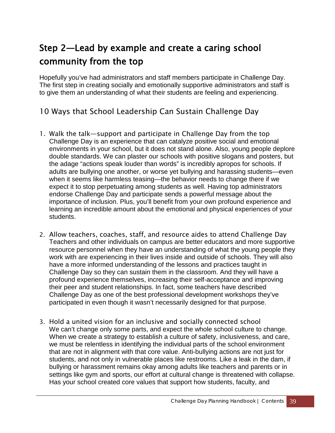### Step 2—Lead by example and create a caring school community from the top

Hopefully you've had administrators and staff members participate in Challenge Day. The first step in creating socially and emotionally supportive administrators and staff is to give them an understanding of what their students are feeling and experiencing.

#### 10 Ways that School Leadership Can Sustain Challenge Day

- 1. Walk the talk—support and participate in Challenge Day from the top Challenge Day is an experience that can catalyze positive social and emotional environments in your school, but it does not stand alone. Also, young people deplore double standards. We can plaster our schools with positive slogans and posters, but the adage "actions speak louder than words" is incredibly apropos for schools. If adults are bullying one another, or worse yet bullying and harassing students—even when it seems like harmless teasing—the behavior needs to change there if we expect it to stop perpetuating among students as well. Having top administrators endorse Challenge Day and participate sends a powerful message about the importance of inclusion. Plus, you'll benefit from your own profound experience and learning an incredible amount about the emotional and physical experiences of your students.
- 2. Allow teachers, coaches, staff, and resource aides to attend Challenge Day Teachers and other individuals on campus are better educators and more supportive resource personnel when they have an understanding of what the young people they work with are experiencing in their lives inside and outside of schools. They will also have a more informed understanding of the lessons and practices taught in Challenge Day so they can sustain them in the classroom. And they will have a profound experience themselves, increasing their self-acceptance and improving their peer and student relationships. In fact, some teachers have described Challenge Day as one of the best professional development workshops they've participated in even though it wasn't necessarily designed for that purpose.
- 3. Hold a united vision for an inclusive and socially connected school We can't change only some parts, and expect the whole school culture to change. When we create a strategy to establish a culture of safety, inclusiveness, and care, we must be relentless in identifying the individual parts of the school environment that are not in alignment with that core value. Anti-bullying actions are not just for students, and not only in vulnerable places like restrooms. Like a leak in the dam, if bullying or harassment remains okay among adults like teachers and parents or in settings like gym and sports, our effort at cultural change is threatened with collapse. Has your school created core values that support how students, faculty, and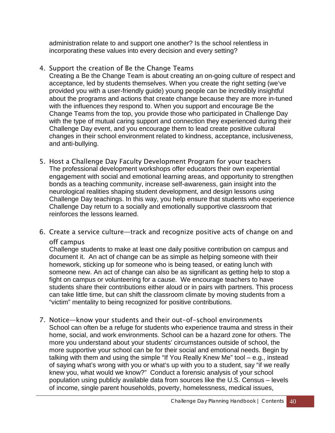administration relate to and support one another? Is the school relentless in incorporating these values into every decision and every setting?

#### 4. Support the creation of Be the Change Teams

Creating a Be the Change Team is about creating an on-going culture of respect and acceptance, led by students themselves. When you create the right setting (we've provided you with a user-friendly guide) young people can be incredibly insightful about the programs and actions that create change because they are more in-tuned with the influences they respond to. When you support and encourage Be the Change Teams from the top, you provide those who participated in Challenge Day with the type of mutual caring support and connection they experienced during their Challenge Day event, and you encourage them to lead create positive cultural changes in their school environment related to kindness, acceptance, inclusiveness, and anti-bullying.

- 5. Host a Challenge Day Faculty Development Program for your teachers The professional development workshops offer educators their own experiential engagement with social and emotional learning areas, and opportunity to strengthen bonds as a teaching community, increase self-awareness, gain insight into the neurological realities shaping student development, and design lessons using Challenge Day teachings. In this way, you help ensure that students who experience Challenge Day return to a socially and emotionally supportive classroom that reinforces the lessons learned.
- 6. Create a service culture—track and recognize positive acts of change on and off campus

Challenge students to make at least one daily positive contribution on campus and document it. An act of change can be as simple as helping someone with their homework, sticking up for someone who is being teased, or eating lunch with someone new. An act of change can also be as significant as getting help to stop a fight on campus or volunteering for a cause. We encourage teachers to have students share their contributions either aloud or in pairs with partners. This process can take little time, but can shift the classroom climate by moving students from a "victim" mentality to being recognized for positive contributions.

7. Notice—know your students and their out-of-school environments School can often be a refuge for students who experience trauma and stress in their home, social, and work environments. School can be a hazard zone for others. The more you understand about your students' circumstances outside of school, the more supportive your school can be for their social and emotional needs. Begin by talking with them and using the simple "If You Really Knew Me" tool – e.g., instead of saying what's wrong with you or what's up with you to a student, say "if we really knew you, what would we know?" Conduct a forensic analysis of your school population using publicly available data from sources like the U.S. Census – levels of income, single parent households, poverty, homelessness, medical issues,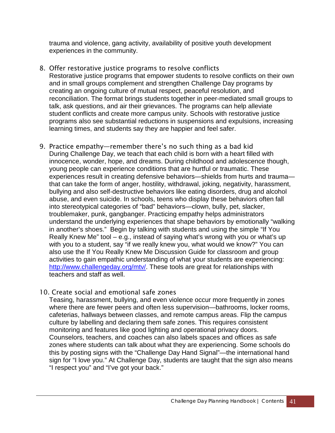trauma and violence, gang activity, availability of positive youth development experiences in the community.

- 8. Offer restorative justice programs to resolve conflicts Restorative justice programs that empower students to resolve conflicts on their own and in small groups complement and strengthen Challenge Day programs by creating an ongoing culture of mutual respect, peaceful resolution, and reconciliation. The format brings students together in peer-mediated small groups to talk, ask questions, and air their grievances. The programs can help alleviate student conflicts and create more campus unity. Schools with restorative justice programs also see substantial reductions in suspensions and expulsions, increasing learning times, and students say they are happier and feel safer.
- 9. Practice empathy—remember there's no such thing as a bad kid During Challenge Day, we teach that each child is born with a heart filled with innocence, wonder, hope, and dreams. During childhood and adolescence though, young people can experience conditions that are hurtful or traumatic. These experiences result in creating defensive behaviors—shields from hurts and trauma that can take the form of anger, hostility, withdrawal, joking, negativity, harassment, bullying and also self-destructive behaviors like eating disorders, drug and alcohol abuse, and even suicide. In schools, teens who display these behaviors often fall into stereotypical categories of "bad" behaviors—clown, bully, pet, slacker, troublemaker, punk, gangbanger. Practicing empathy helps administrators understand the underlying experiences that shape behaviors by emotionally "walking in another's shoes." Begin by talking with students and using the simple "If You Really Knew Me" tool – e.g., instead of saying what's wrong with you or what's up with you to a student, say "if we really knew you, what would we know?" You can also use the If You Really Knew Me Discussion Guide for classroom and group activities to gain empathic understanding of what your students are experiencing: [http://www.challengeday.org/mtv/.](http://www.challengeday.org/mtv/) These tools are great for relationships with teachers and staff as well.
- 10. Create social and emotional safe zones

Teasing, harassment, bullying, and even violence occur more frequently in zones where there are fewer peers and often less supervision—bathrooms, locker rooms, cafeterias, hallways between classes, and remote campus areas. Flip the campus culture by labelling and declaring them safe zones. This requires consistent monitoring and features like good lighting and operational privacy doors. Counselors, teachers, and coaches can also labels spaces and offices as safe zones where students can talk about what they are experiencing. Some schools do this by posting signs with the "Challenge Day Hand Signal"—the international hand sign for "I love you." At Challenge Day, students are taught that the sign also means "I respect you" and "I've got your back."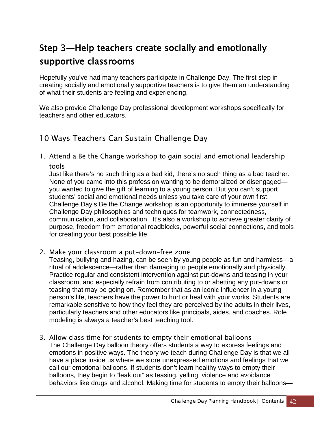### Step 3—Help teachers create socially and emotionally supportive classrooms

Hopefully you've had many teachers participate in Challenge Day. The first step in creating socially and emotionally supportive teachers is to give them an understanding of what their students are feeling and experiencing.

We also provide Challenge Day professional development workshops specifically for teachers and other educators.

#### 10 Ways Teachers Can Sustain Challenge Day

1. Attend a Be the Change workshop to gain social and emotional leadership tools

Just like there's no such thing as a bad kid, there's no such thing as a bad teacher. None of you came into this profession wanting to be demoralized or disengaged you wanted to give the gift of learning to a young person. But you can't support students' social and emotional needs unless you take care of your own first. Challenge Day's Be the Change workshop is an opportunity to immerse yourself in Challenge Day philosophies and techniques for teamwork, connectedness, communication, and collaboration. It's also a workshop to achieve greater clarity of purpose, freedom from emotional roadblocks, powerful social connections, and tools for creating your best possible life.

2. Make your classroom a put-down-free zone

Teasing, bullying and hazing, can be seen by young people as fun and harmless—a ritual of adolescence—rather than damaging to people emotionally and physically. Practice regular and consistent intervention against put-downs and teasing in your classroom, and especially refrain from contributing to or abetting any put-downs or teasing that may be going on. Remember that as an iconic influencer in a young person's life, teachers have the power to hurt or heal with your works. Students are remarkable sensitive to how they feel they are perceived by the adults in their lives, particularly teachers and other educators like principals, aides, and coaches. Role modeling is always a teacher's best teaching tool.

3. Allow class time for students to empty their emotional balloons The Challenge Day balloon theory offers students a way to express feelings and emotions in positive ways. The theory we teach during Challenge Day is that we all have a place inside us where we store unexpressed emotions and feelings that we call our emotional balloons. If students don't learn healthy ways to empty their balloons, they begin to "leak out" as teasing, yelling, violence and avoidance behaviors like drugs and alcohol. Making time for students to empty their balloons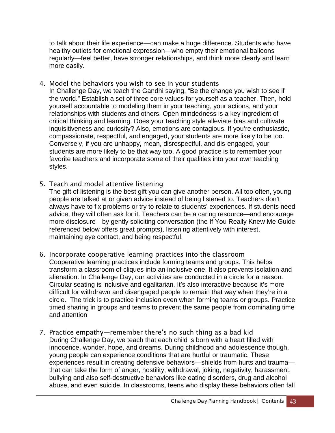to talk about their life experience—can make a huge difference. Students who have healthy outlets for emotional expression—who empty their emotional balloons regularly—feel better, have stronger relationships, and think more clearly and learn more easily.

- 4. Model the behaviors you wish to see in your students In Challenge Day, we teach the Gandhi saying, "Be the change you wish to see if the world." Establish a set of three core values for yourself as a teacher. Then, hold yourself accountable to modeling them in your teaching, your actions, and your relationships with students and others. Open-mindedness is a key ingredient of critical thinking and learning. Does your teaching style alleviate bias and cultivate inquisitiveness and curiosity? Also, emotions are contagious. If you're enthusiastic, compassionate, respectful, and engaged, your students are more likely to be too. Conversely, if you are unhappy, mean, disrespectful, and dis-engaged, your students are more likely to be that way too. A good practice is to remember your favorite teachers and incorporate some of their qualities into your own teaching styles.
- 5. Teach and model attentive listening

The gift of listening is the best gift you can give another person. All too often, young people are talked at or given advice instead of being listened to. Teachers don't always have to fix problems or try to relate to students' experiences. If students need advice, they will often ask for it. Teachers can be a caring resource—and encourage more disclosure—by gently soliciting conversation (the If You Really Knew Me Guide referenced below offers great prompts), listening attentively with interest, maintaining eye contact, and being respectful.

- 6. Incorporate cooperative learning practices into the classroom Cooperative learning practices include forming teams and groups. This helps transform a classroom of cliques into an inclusive one. It also prevents isolation and alienation. In Challenge Day, our activities are conducted in a circle for a reason. Circular seating is inclusive and egalitarian. It's also interactive because it's more difficult for withdrawn and disengaged people to remain that way when they're in a circle. The trick is to practice inclusion even when forming teams or groups. Practice timed sharing in groups and teams to prevent the same people from dominating time and attention
- 7. Practice empathy—remember there's no such thing as a bad kid During Challenge Day, we teach that each child is born with a heart filled with innocence, wonder, hope, and dreams. During childhood and adolescence though, young people can experience conditions that are hurtful or traumatic. These experiences result in creating defensive behaviors—shields from hurts and trauma that can take the form of anger, hostility, withdrawal, joking, negativity, harassment, bullying and also self-destructive behaviors like eating disorders, drug and alcohol abuse, and even suicide. In classrooms, teens who display these behaviors often fall